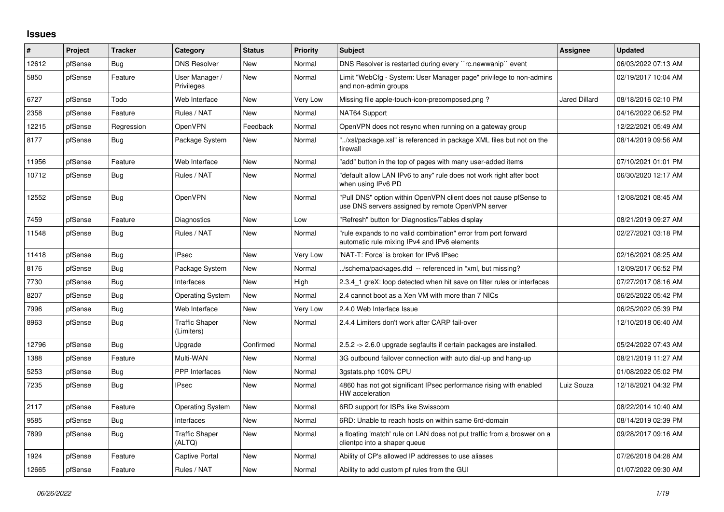## **Issues**

| #     | Project | <b>Tracker</b> | Category                            | <b>Status</b> | <b>Priority</b> | <b>Subject</b>                                                                                                         | Assignee             | <b>Updated</b>      |
|-------|---------|----------------|-------------------------------------|---------------|-----------------|------------------------------------------------------------------------------------------------------------------------|----------------------|---------------------|
| 12612 | pfSense | Bug            | <b>DNS Resolver</b>                 | New           | Normal          | DNS Resolver is restarted during every "rc.newwanip" event                                                             |                      | 06/03/2022 07:13 AM |
| 5850  | pfSense | Feature        | User Manager /<br>Privileges        | New           | Normal          | Limit "WebCfg - System: User Manager page" privilege to non-admins<br>and non-admin groups                             |                      | 02/19/2017 10:04 AM |
| 6727  | pfSense | Todo           | Web Interface                       | New           | Very Low        | Missing file apple-touch-icon-precomposed.png?                                                                         | <b>Jared Dillard</b> | 08/18/2016 02:10 PM |
| 2358  | pfSense | Feature        | Rules / NAT                         | New           | Normal          | NAT64 Support                                                                                                          |                      | 04/16/2022 06:52 PM |
| 12215 | pfSense | Regression     | <b>OpenVPN</b>                      | Feedback      | Normal          | OpenVPN does not resync when running on a gateway group                                                                |                      | 12/22/2021 05:49 AM |
| 8177  | pfSense | Bug            | Package System                      | New           | Normal          | "/xsl/package.xsl" is referenced in package XML files but not on the<br>firewall                                       |                      | 08/14/2019 09:56 AM |
| 11956 | pfSense | Feature        | Web Interface                       | New           | Normal          | "add" button in the top of pages with many user-added items                                                            |                      | 07/10/2021 01:01 PM |
| 10712 | pfSense | Bug            | Rules / NAT                         | <b>New</b>    | Normal          | "default allow LAN IPv6 to any" rule does not work right after boot<br>when using IPv6 PD                              |                      | 06/30/2020 12:17 AM |
| 12552 | pfSense | Bug            | OpenVPN                             | New           | Normal          | "Pull DNS" option within OpenVPN client does not cause pfSense to<br>use DNS servers assigned by remote OpenVPN server |                      | 12/08/2021 08:45 AM |
| 7459  | pfSense | Feature        | Diagnostics                         | New           | Low             | "Refresh" button for Diagnostics/Tables display                                                                        |                      | 08/21/2019 09:27 AM |
| 11548 | pfSense | Bug            | Rules / NAT                         | <b>New</b>    | Normal          | "rule expands to no valid combination" error from port forward<br>automatic rule mixing IPv4 and IPv6 elements         |                      | 02/27/2021 03:18 PM |
| 11418 | pfSense | Bug            | <b>IPsec</b>                        | <b>New</b>    | Very Low        | 'NAT-T: Force' is broken for IPv6 IPsec                                                                                |                      | 02/16/2021 08:25 AM |
| 8176  | pfSense | <b>Bug</b>     | Package System                      | New           | Normal          | ./schema/packages.dtd -- referenced in *xml, but missing?                                                              |                      | 12/09/2017 06:52 PM |
| 7730  | pfSense | Bug            | Interfaces                          | New           | High            | 2.3.4 1 greX: loop detected when hit save on filter rules or interfaces                                                |                      | 07/27/2017 08:16 AM |
| 8207  | pfSense | Bug            | <b>Operating System</b>             | New           | Normal          | 2.4 cannot boot as a Xen VM with more than 7 NICs                                                                      |                      | 06/25/2022 05:42 PM |
| 7996  | pfSense | <b>Bug</b>     | Web Interface                       | New           | Very Low        | 2.4.0 Web Interface Issue                                                                                              |                      | 06/25/2022 05:39 PM |
| 8963  | pfSense | Bug            | <b>Traffic Shaper</b><br>(Limiters) | <b>New</b>    | Normal          | 2.4.4 Limiters don't work after CARP fail-over                                                                         |                      | 12/10/2018 06:40 AM |
| 12796 | pfSense | Bug            | Upgrade                             | Confirmed     | Normal          | 2.5.2 -> 2.6.0 upgrade segfaults if certain packages are installed.                                                    |                      | 05/24/2022 07:43 AM |
| 1388  | pfSense | Feature        | Multi-WAN                           | <b>New</b>    | Normal          | 3G outbound failover connection with auto dial-up and hang-up                                                          |                      | 08/21/2019 11:27 AM |
| 5253  | pfSense | Bug            | <b>PPP</b> Interfaces               | New           | Normal          | 3qstats.php 100% CPU                                                                                                   |                      | 01/08/2022 05:02 PM |
| 7235  | pfSense | <b>Bug</b>     | <b>IPsec</b>                        | <b>New</b>    | Normal          | 4860 has not got significant IPsec performance rising with enabled<br>HW acceleration                                  | Luiz Souza           | 12/18/2021 04:32 PM |
| 2117  | pfSense | Feature        | <b>Operating System</b>             | New           | Normal          | 6RD support for ISPs like Swisscom                                                                                     |                      | 08/22/2014 10:40 AM |
| 9585  | pfSense | <b>Bug</b>     | Interfaces                          | <b>New</b>    | Normal          | 6RD: Unable to reach hosts on within same 6rd-domain                                                                   |                      | 08/14/2019 02:39 PM |
| 7899  | pfSense | <b>Bug</b>     | <b>Traffic Shaper</b><br>(ALTQ)     | New           | Normal          | a floating 'match' rule on LAN does not put traffic from a broswer on a<br>clientpc into a shaper queue                |                      | 09/28/2017 09:16 AM |
| 1924  | pfSense | Feature        | Captive Portal                      | New           | Normal          | Ability of CP's allowed IP addresses to use aliases                                                                    |                      | 07/26/2018 04:28 AM |
| 12665 | pfSense | Feature        | Rules / NAT                         | <b>New</b>    | Normal          | Ability to add custom pf rules from the GUI                                                                            |                      | 01/07/2022 09:30 AM |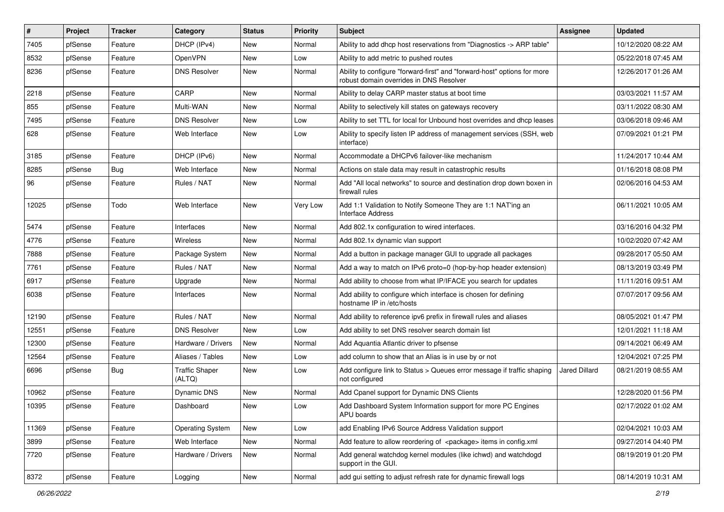| $\vert$ # | Project | <b>Tracker</b> | Category                        | <b>Status</b> | <b>Priority</b> | Subject                                                                                                             | <b>Assignee</b> | <b>Updated</b>      |
|-----------|---------|----------------|---------------------------------|---------------|-----------------|---------------------------------------------------------------------------------------------------------------------|-----------------|---------------------|
| 7405      | pfSense | Feature        | DHCP (IPv4)                     | New           | Normal          | Ability to add dhcp host reservations from "Diagnostics -> ARP table"                                               |                 | 10/12/2020 08:22 AM |
| 8532      | pfSense | Feature        | <b>OpenVPN</b>                  | New           | Low             | Ability to add metric to pushed routes                                                                              |                 | 05/22/2018 07:45 AM |
| 8236      | pfSense | Feature        | <b>DNS Resolver</b>             | New           | Normal          | Ability to configure "forward-first" and "forward-host" options for more<br>robust domain overrides in DNS Resolver |                 | 12/26/2017 01:26 AM |
| 2218      | pfSense | Feature        | CARP                            | New           | Normal          | Ability to delay CARP master status at boot time                                                                    |                 | 03/03/2021 11:57 AM |
| 855       | pfSense | Feature        | Multi-WAN                       | New           | Normal          | Ability to selectively kill states on gateways recovery                                                             |                 | 03/11/2022 08:30 AM |
| 7495      | pfSense | Feature        | <b>DNS Resolver</b>             | New           | Low             | Ability to set TTL for local for Unbound host overrides and dhcp leases                                             |                 | 03/06/2018 09:46 AM |
| 628       | pfSense | Feature        | Web Interface                   | New           | Low             | Ability to specify listen IP address of management services (SSH, web<br>interface)                                 |                 | 07/09/2021 01:21 PM |
| 3185      | pfSense | Feature        | DHCP (IPv6)                     | New           | Normal          | Accommodate a DHCPv6 failover-like mechanism                                                                        |                 | 11/24/2017 10:44 AM |
| 8285      | pfSense | Bug            | Web Interface                   | New           | Normal          | Actions on stale data may result in catastrophic results                                                            |                 | 01/16/2018 08:08 PM |
| 96        | pfSense | Feature        | Rules / NAT                     | New           | Normal          | Add "All local networks" to source and destination drop down boxen in<br>firewall rules                             |                 | 02/06/2016 04:53 AM |
| 12025     | pfSense | Todo           | Web Interface                   | New           | Very Low        | Add 1:1 Validation to Notify Someone They are 1:1 NAT'ing an<br><b>Interface Address</b>                            |                 | 06/11/2021 10:05 AM |
| 5474      | pfSense | Feature        | Interfaces                      | <b>New</b>    | Normal          | Add 802.1x configuration to wired interfaces.                                                                       |                 | 03/16/2016 04:32 PM |
| 4776      | pfSense | Feature        | Wireless                        | New           | Normal          | Add 802.1x dynamic vlan support                                                                                     |                 | 10/02/2020 07:42 AM |
| 7888      | pfSense | Feature        | Package System                  | New           | Normal          | Add a button in package manager GUI to upgrade all packages                                                         |                 | 09/28/2017 05:50 AM |
| 7761      | pfSense | Feature        | Rules / NAT                     | New           | Normal          | Add a way to match on IPv6 proto=0 (hop-by-hop header extension)                                                    |                 | 08/13/2019 03:49 PM |
| 6917      | pfSense | Feature        | Upgrade                         | New           | Normal          | Add ability to choose from what IP/IFACE you search for updates                                                     |                 | 11/11/2016 09:51 AM |
| 6038      | pfSense | Feature        | Interfaces                      | New           | Normal          | Add ability to configure which interface is chosen for defining<br>hostname IP in /etc/hosts                        |                 | 07/07/2017 09:56 AM |
| 12190     | pfSense | Feature        | Rules / NAT                     | New           | Normal          | Add ability to reference ipv6 prefix in firewall rules and aliases                                                  |                 | 08/05/2021 01:47 PM |
| 12551     | pfSense | Feature        | <b>DNS Resolver</b>             | <b>New</b>    | Low             | Add ability to set DNS resolver search domain list                                                                  |                 | 12/01/2021 11:18 AM |
| 12300     | pfSense | Feature        | Hardware / Drivers              | New           | Normal          | Add Aquantia Atlantic driver to pfsense                                                                             |                 | 09/14/2021 06:49 AM |
| 12564     | pfSense | Feature        | Aliases / Tables                | New           | Low             | add column to show that an Alias is in use by or not                                                                |                 | 12/04/2021 07:25 PM |
| 6696      | pfSense | Bug            | <b>Traffic Shaper</b><br>(ALTQ) | New           | Low             | Add configure link to Status > Queues error message if traffic shaping<br>not configured                            | Jared Dillard   | 08/21/2019 08:55 AM |
| 10962     | pfSense | Feature        | Dynamic DNS                     | New           | Normal          | Add Cpanel support for Dynamic DNS Clients                                                                          |                 | 12/28/2020 01:56 PM |
| 10395     | pfSense | Feature        | Dashboard                       | New           | Low             | Add Dashboard System Information support for more PC Engines<br>APU boards                                          |                 | 02/17/2022 01:02 AM |
| 11369     | pfSense | Feature        | <b>Operating System</b>         | New           | Low             | add Enabling IPv6 Source Address Validation support                                                                 |                 | 02/04/2021 10:03 AM |
| 3899      | pfSense | Feature        | Web Interface                   | New           | Normal          | Add feature to allow reordering of <package> items in config.xml</package>                                          |                 | 09/27/2014 04:40 PM |
| 7720      | pfSense | Feature        | Hardware / Drivers              | New           | Normal          | Add general watchdog kernel modules (like ichwd) and watchdogd<br>support in the GUI.                               |                 | 08/19/2019 01:20 PM |
| 8372      | pfSense | Feature        | Logging                         | New           | Normal          | add gui setting to adjust refresh rate for dynamic firewall logs                                                    |                 | 08/14/2019 10:31 AM |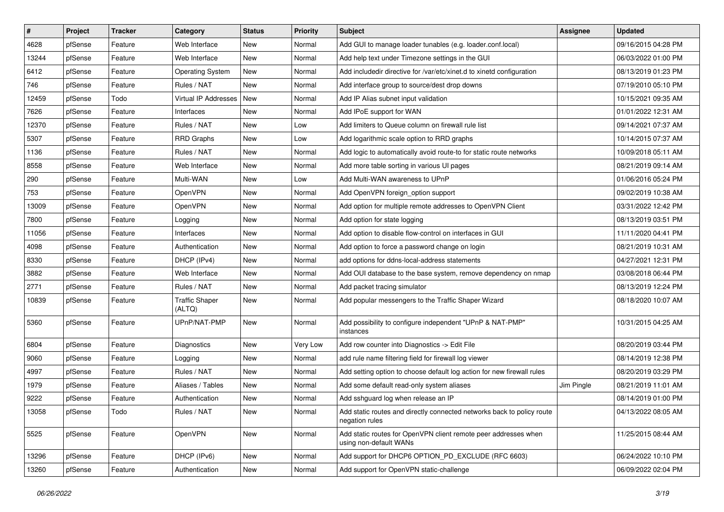| $\vert$ # | Project | <b>Tracker</b> | Category                        | <b>Status</b> | <b>Priority</b> | <b>Subject</b>                                                                            | <b>Assignee</b> | <b>Updated</b>      |
|-----------|---------|----------------|---------------------------------|---------------|-----------------|-------------------------------------------------------------------------------------------|-----------------|---------------------|
| 4628      | pfSense | Feature        | Web Interface                   | New           | Normal          | Add GUI to manage loader tunables (e.g. loader.conf.local)                                |                 | 09/16/2015 04:28 PM |
| 13244     | pfSense | Feature        | Web Interface                   | New           | Normal          | Add help text under Timezone settings in the GUI                                          |                 | 06/03/2022 01:00 PM |
| 6412      | pfSense | Feature        | <b>Operating System</b>         | New           | Normal          | Add includedir directive for /var/etc/xinet.d to xinetd configuration                     |                 | 08/13/2019 01:23 PM |
| 746       | pfSense | Feature        | Rules / NAT                     | New           | Normal          | Add interface group to source/dest drop downs                                             |                 | 07/19/2010 05:10 PM |
| 12459     | pfSense | Todo           | Virtual IP Addresses   New      |               | Normal          | Add IP Alias subnet input validation                                                      |                 | 10/15/2021 09:35 AM |
| 7626      | pfSense | Feature        | Interfaces                      | New           | Normal          | Add IPoE support for WAN                                                                  |                 | 01/01/2022 12:31 AM |
| 12370     | pfSense | Feature        | Rules / NAT                     | New           | Low             | Add limiters to Queue column on firewall rule list                                        |                 | 09/14/2021 07:37 AM |
| 5307      | pfSense | Feature        | <b>RRD Graphs</b>               | New           | Low             | Add logarithmic scale option to RRD graphs                                                |                 | 10/14/2015 07:37 AM |
| 1136      | pfSense | Feature        | Rules / NAT                     | New           | Normal          | Add logic to automatically avoid route-to for static route networks                       |                 | 10/09/2018 05:11 AM |
| 8558      | pfSense | Feature        | Web Interface                   | New           | Normal          | Add more table sorting in various UI pages                                                |                 | 08/21/2019 09:14 AM |
| 290       | pfSense | Feature        | Multi-WAN                       | New           | Low             | Add Multi-WAN awareness to UPnP                                                           |                 | 01/06/2016 05:24 PM |
| 753       | pfSense | Feature        | OpenVPN                         | New           | Normal          | Add OpenVPN foreign_option support                                                        |                 | 09/02/2019 10:38 AM |
| 13009     | pfSense | Feature        | <b>OpenVPN</b>                  | New           | Normal          | Add option for multiple remote addresses to OpenVPN Client                                |                 | 03/31/2022 12:42 PM |
| 7800      | pfSense | Feature        | Logging                         | New           | Normal          | Add option for state logging                                                              |                 | 08/13/2019 03:51 PM |
| 11056     | pfSense | Feature        | Interfaces                      | <b>New</b>    | Normal          | Add option to disable flow-control on interfaces in GUI                                   |                 | 11/11/2020 04:41 PM |
| 4098      | pfSense | Feature        | Authentication                  | New           | Normal          | Add option to force a password change on login                                            |                 | 08/21/2019 10:31 AM |
| 8330      | pfSense | Feature        | DHCP (IPv4)                     | New           | Normal          | add options for ddns-local-address statements                                             |                 | 04/27/2021 12:31 PM |
| 3882      | pfSense | Feature        | Web Interface                   | New           | Normal          | Add OUI database to the base system, remove dependency on nmap                            |                 | 03/08/2018 06:44 PM |
| 2771      | pfSense | Feature        | Rules / NAT                     | New           | Normal          | Add packet tracing simulator                                                              |                 | 08/13/2019 12:24 PM |
| 10839     | pfSense | Feature        | <b>Traffic Shaper</b><br>(ALTQ) | New           | Normal          | Add popular messengers to the Traffic Shaper Wizard                                       |                 | 08/18/2020 10:07 AM |
| 5360      | pfSense | Feature        | UPnP/NAT-PMP                    | New           | Normal          | Add possibility to configure independent "UPnP & NAT-PMP"<br>instances                    |                 | 10/31/2015 04:25 AM |
| 6804      | pfSense | Feature        | Diagnostics                     | New           | Very Low        | Add row counter into Diagnostics -> Edit File                                             |                 | 08/20/2019 03:44 PM |
| 9060      | pfSense | Feature        | Logging                         | New           | Normal          | add rule name filtering field for firewall log viewer                                     |                 | 08/14/2019 12:38 PM |
| 4997      | pfSense | Feature        | Rules / NAT                     | New           | Normal          | Add setting option to choose default log action for new firewall rules                    |                 | 08/20/2019 03:29 PM |
| 1979      | pfSense | Feature        | Aliases / Tables                | New           | Normal          | Add some default read-only system aliases                                                 | Jim Pingle      | 08/21/2019 11:01 AM |
| 9222      | pfSense | Feature        | Authentication                  | New           | Normal          | Add sshguard log when release an IP                                                       |                 | 08/14/2019 01:00 PM |
| 13058     | pfSense | Todo           | Rules / NAT                     | New           | Normal          | Add static routes and directly connected networks back to policy route<br>negation rules  |                 | 04/13/2022 08:05 AM |
| 5525      | pfSense | Feature        | OpenVPN                         | New           | Normal          | Add static routes for OpenVPN client remote peer addresses when<br>using non-default WANs |                 | 11/25/2015 08:44 AM |
| 13296     | pfSense | Feature        | DHCP (IPv6)                     | New           | Normal          | Add support for DHCP6 OPTION_PD_EXCLUDE (RFC 6603)                                        |                 | 06/24/2022 10:10 PM |
| 13260     | pfSense | Feature        | Authentication                  | New           | Normal          | Add support for OpenVPN static-challenge                                                  |                 | 06/09/2022 02:04 PM |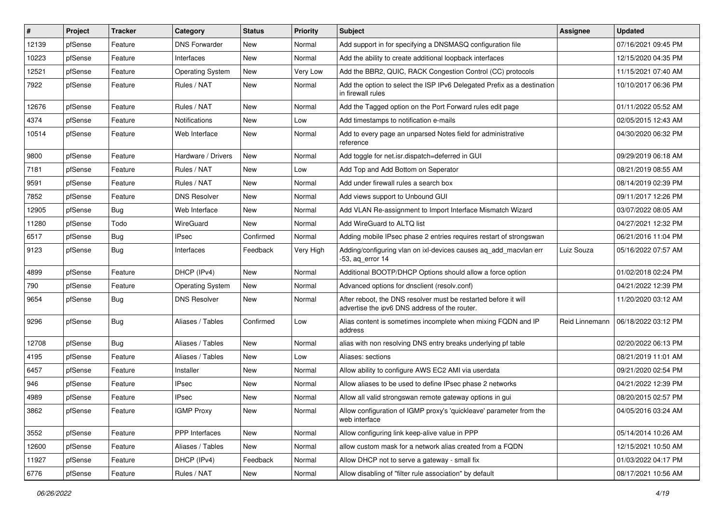| $\sharp$ | Project | <b>Tracker</b> | Category                | <b>Status</b> | <b>Priority</b> | <b>Subject</b>                                                                                                   | <b>Assignee</b> | <b>Updated</b>      |
|----------|---------|----------------|-------------------------|---------------|-----------------|------------------------------------------------------------------------------------------------------------------|-----------------|---------------------|
| 12139    | pfSense | Feature        | <b>DNS Forwarder</b>    | New           | Normal          | Add support in for specifying a DNSMASQ configuration file                                                       |                 | 07/16/2021 09:45 PM |
| 10223    | pfSense | Feature        | Interfaces              | New           | Normal          | Add the ability to create additional loopback interfaces                                                         |                 | 12/15/2020 04:35 PM |
| 12521    | pfSense | Feature        | <b>Operating System</b> | New           | Very Low        | Add the BBR2, QUIC, RACK Congestion Control (CC) protocols                                                       |                 | 11/15/2021 07:40 AM |
| 7922     | pfSense | Feature        | Rules / NAT             | New           | Normal          | Add the option to select the ISP IPv6 Delegated Prefix as a destination<br>in firewall rules                     |                 | 10/10/2017 06:36 PM |
| 12676    | pfSense | Feature        | Rules / NAT             | New           | Normal          | Add the Tagged option on the Port Forward rules edit page                                                        |                 | 01/11/2022 05:52 AM |
| 4374     | pfSense | Feature        | Notifications           | New           | Low             | Add timestamps to notification e-mails                                                                           |                 | 02/05/2015 12:43 AM |
| 10514    | pfSense | Feature        | Web Interface           | New           | Normal          | Add to every page an unparsed Notes field for administrative<br>reference                                        |                 | 04/30/2020 06:32 PM |
| 9800     | pfSense | Feature        | Hardware / Drivers      | New           | Normal          | Add toggle for net.isr.dispatch=deferred in GUI                                                                  |                 | 09/29/2019 06:18 AM |
| 7181     | pfSense | Feature        | Rules / NAT             | <b>New</b>    | Low             | Add Top and Add Bottom on Seperator                                                                              |                 | 08/21/2019 08:55 AM |
| 9591     | pfSense | Feature        | Rules / NAT             | New           | Normal          | Add under firewall rules a search box                                                                            |                 | 08/14/2019 02:39 PM |
| 7852     | pfSense | Feature        | <b>DNS Resolver</b>     | New           | Normal          | Add views support to Unbound GUI                                                                                 |                 | 09/11/2017 12:26 PM |
| 12905    | pfSense | <b>Bug</b>     | Web Interface           | New           | Normal          | Add VLAN Re-assignment to Import Interface Mismatch Wizard                                                       |                 | 03/07/2022 08:05 AM |
| 11280    | pfSense | Todo           | WireGuard               | New           | Normal          | Add WireGuard to ALTQ list                                                                                       |                 | 04/27/2021 12:32 PM |
| 6517     | pfSense | Bug            | <b>IPsec</b>            | Confirmed     | Normal          | Adding mobile IPsec phase 2 entries requires restart of strongswan                                               |                 | 06/21/2016 11:04 PM |
| 9123     | pfSense | <b>Bug</b>     | Interfaces              | Feedback      | Very High       | Adding/configuring vlan on ixl-devices causes ag add macvlan err<br>$-53$ , aq error 14                          | Luiz Souza      | 05/16/2022 07:57 AM |
| 4899     | pfSense | Feature        | DHCP (IPv4)             | New           | Normal          | Additional BOOTP/DHCP Options should allow a force option                                                        |                 | 01/02/2018 02:24 PM |
| 790      | pfSense | Feature        | <b>Operating System</b> | New           | Normal          | Advanced options for dnsclient (resolv.conf)                                                                     |                 | 04/21/2022 12:39 PM |
| 9654     | pfSense | Bug            | <b>DNS Resolver</b>     | New           | Normal          | After reboot, the DNS resolver must be restarted before it will<br>advertise the ipv6 DNS address of the router. |                 | 11/20/2020 03:12 AM |
| 9296     | pfSense | Bug            | Aliases / Tables        | Confirmed     | Low             | Alias content is sometimes incomplete when mixing FQDN and IP<br>address                                         | Reid Linnemann  | 06/18/2022 03:12 PM |
| 12708    | pfSense | Bug            | Aliases / Tables        | New           | Normal          | alias with non resolving DNS entry breaks underlying pf table                                                    |                 | 02/20/2022 06:13 PM |
| 4195     | pfSense | Feature        | Aliases / Tables        | New           | Low             | Aliases: sections                                                                                                |                 | 08/21/2019 11:01 AM |
| 6457     | pfSense | Feature        | Installer               | New           | Normal          | Allow ability to configure AWS EC2 AMI via userdata                                                              |                 | 09/21/2020 02:54 PM |
| 946      | pfSense | Feature        | <b>IPsec</b>            | New           | Normal          | Allow aliases to be used to define IPsec phase 2 networks                                                        |                 | 04/21/2022 12:39 PM |
| 4989     | pfSense | Feature        | <b>IPsec</b>            | New           | Normal          | Allow all valid strongswan remote gateway options in gui                                                         |                 | 08/20/2015 02:57 PM |
| 3862     | pfSense | Feature        | <b>IGMP Proxy</b>       | New           | Normal          | Allow configuration of IGMP proxy's 'quickleave' parameter from the<br>web interface                             |                 | 04/05/2016 03:24 AM |
| 3552     | pfSense | Feature        | PPP Interfaces          | New           | Normal          | Allow configuring link keep-alive value in PPP                                                                   |                 | 05/14/2014 10:26 AM |
| 12600    | pfSense | Feature        | Aliases / Tables        | New           | Normal          | allow custom mask for a network alias created from a FQDN                                                        |                 | 12/15/2021 10:50 AM |
| 11927    | pfSense | Feature        | DHCP (IPv4)             | Feedback      | Normal          | Allow DHCP not to serve a gateway - small fix                                                                    |                 | 01/03/2022 04:17 PM |
| 6776     | pfSense | Feature        | Rules / NAT             | New           | Normal          | Allow disabling of "filter rule association" by default                                                          |                 | 08/17/2021 10:56 AM |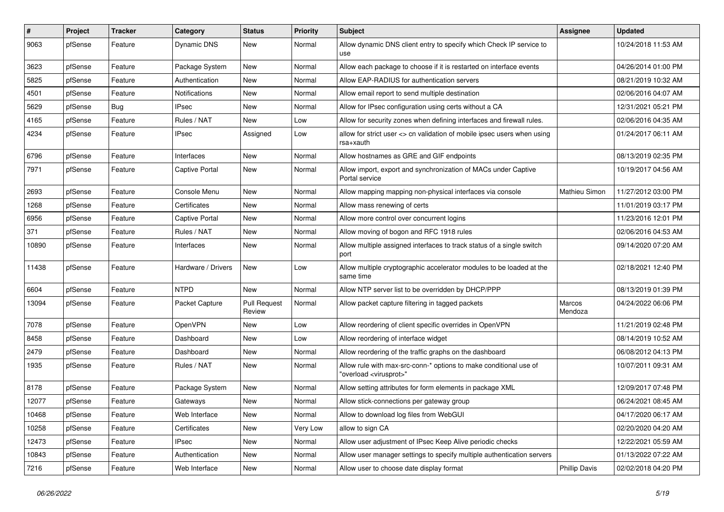| #     | Project | <b>Tracker</b> | Category           | <b>Status</b>                 | <b>Priority</b> | <b>Subject</b>                                                                                          | <b>Assignee</b>      | <b>Updated</b>      |
|-------|---------|----------------|--------------------|-------------------------------|-----------------|---------------------------------------------------------------------------------------------------------|----------------------|---------------------|
| 9063  | pfSense | Feature        | Dynamic DNS        | New                           | Normal          | Allow dynamic DNS client entry to specify which Check IP service to<br>use                              |                      | 10/24/2018 11:53 AM |
| 3623  | pfSense | Feature        | Package System     | New                           | Normal          | Allow each package to choose if it is restarted on interface events                                     |                      | 04/26/2014 01:00 PM |
| 5825  | pfSense | Feature        | Authentication     | New                           | Normal          | Allow EAP-RADIUS for authentication servers                                                             |                      | 08/21/2019 10:32 AM |
| 4501  | pfSense | Feature        | Notifications      | New                           | Normal          | Allow email report to send multiple destination                                                         |                      | 02/06/2016 04:07 AM |
| 5629  | pfSense | Bug            | <b>IPsec</b>       | New                           | Normal          | Allow for IPsec configuration using certs without a CA                                                  |                      | 12/31/2021 05:21 PM |
| 4165  | pfSense | Feature        | Rules / NAT        | New                           | Low             | Allow for security zones when defining interfaces and firewall rules.                                   |                      | 02/06/2016 04:35 AM |
| 4234  | pfSense | Feature        | <b>IPsec</b>       | Assigned                      | Low             | allow for strict user <> cn validation of mobile ipsec users when using<br>rsa+xauth                    |                      | 01/24/2017 06:11 AM |
| 6796  | pfSense | Feature        | Interfaces         | New                           | Normal          | Allow hostnames as GRE and GIF endpoints                                                                |                      | 08/13/2019 02:35 PM |
| 7971  | pfSense | Feature        | Captive Portal     | New                           | Normal          | Allow import, export and synchronization of MACs under Captive<br>Portal service                        |                      | 10/19/2017 04:56 AM |
| 2693  | pfSense | Feature        | Console Menu       | New                           | Normal          | Allow mapping mapping non-physical interfaces via console                                               | <b>Mathieu Simon</b> | 11/27/2012 03:00 PM |
| 1268  | pfSense | Feature        | Certificates       | New                           | Normal          | Allow mass renewing of certs                                                                            |                      | 11/01/2019 03:17 PM |
| 6956  | pfSense | Feature        | Captive Portal     | New                           | Normal          | Allow more control over concurrent logins                                                               |                      | 11/23/2016 12:01 PM |
| 371   | pfSense | Feature        | Rules / NAT        | New                           | Normal          | Allow moving of bogon and RFC 1918 rules                                                                |                      | 02/06/2016 04:53 AM |
| 10890 | pfSense | Feature        | Interfaces         | New                           | Normal          | Allow multiple assigned interfaces to track status of a single switch<br>port                           |                      | 09/14/2020 07:20 AM |
| 11438 | pfSense | Feature        | Hardware / Drivers | New                           | Low             | Allow multiple cryptographic accelerator modules to be loaded at the<br>same time                       |                      | 02/18/2021 12:40 PM |
| 6604  | pfSense | Feature        | <b>NTPD</b>        | New                           | Normal          | Allow NTP server list to be overridden by DHCP/PPP                                                      |                      | 08/13/2019 01:39 PM |
| 13094 | pfSense | Feature        | Packet Capture     | <b>Pull Request</b><br>Review | Normal          | Allow packet capture filtering in tagged packets                                                        | Marcos<br>Mendoza    | 04/24/2022 06:06 PM |
| 7078  | pfSense | Feature        | <b>OpenVPN</b>     | New                           | Low             | Allow reordering of client specific overrides in OpenVPN                                                |                      | 11/21/2019 02:48 PM |
| 8458  | pfSense | Feature        | Dashboard          | New                           | Low             | Allow reordering of interface widget                                                                    |                      | 08/14/2019 10:52 AM |
| 2479  | pfSense | Feature        | Dashboard          | New                           | Normal          | Allow reordering of the traffic graphs on the dashboard                                                 |                      | 06/08/2012 04:13 PM |
| 1935  | pfSense | Feature        | Rules / NAT        | New                           | Normal          | Allow rule with max-src-conn-* options to make conditional use of<br>"overload <virusprot>"</virusprot> |                      | 10/07/2011 09:31 AM |
| 8178  | pfSense | Feature        | Package System     | New                           | Normal          | Allow setting attributes for form elements in package XML                                               |                      | 12/09/2017 07:48 PM |
| 12077 | pfSense | Feature        | Gateways           | New                           | Normal          | Allow stick-connections per gateway group                                                               |                      | 06/24/2021 08:45 AM |
| 10468 | pfSense | Feature        | Web Interface      | New                           | Normal          | Allow to download log files from WebGUI                                                                 |                      | 04/17/2020 06:17 AM |
| 10258 | pfSense | Feature        | Certificates       | New                           | Very Low        | allow to sign CA                                                                                        |                      | 02/20/2020 04:20 AM |
| 12473 | pfSense | Feature        | <b>IPsec</b>       | New                           | Normal          | Allow user adjustment of IPsec Keep Alive periodic checks                                               |                      | 12/22/2021 05:59 AM |
| 10843 | pfSense | Feature        | Authentication     | New                           | Normal          | Allow user manager settings to specify multiple authentication servers                                  |                      | 01/13/2022 07:22 AM |
| 7216  | pfSense | Feature        | Web Interface      | New                           | Normal          | Allow user to choose date display format                                                                | <b>Phillip Davis</b> | 02/02/2018 04:20 PM |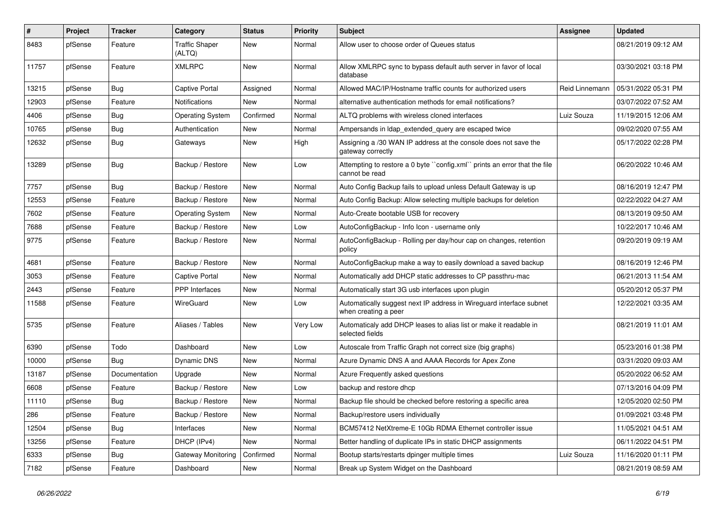| $\#$  | <b>Project</b> | <b>Tracker</b> | Category                        | <b>Status</b> | <b>Priority</b> | <b>Subject</b>                                                                              | <b>Assignee</b> | <b>Updated</b>      |
|-------|----------------|----------------|---------------------------------|---------------|-----------------|---------------------------------------------------------------------------------------------|-----------------|---------------------|
| 8483  | pfSense        | Feature        | <b>Traffic Shaper</b><br>(ALTQ) | New           | Normal          | Allow user to choose order of Queues status                                                 |                 | 08/21/2019 09:12 AM |
| 11757 | pfSense        | Feature        | <b>XMLRPC</b>                   | <b>New</b>    | Normal          | Allow XMLRPC sync to bypass default auth server in favor of local<br>database               |                 | 03/30/2021 03:18 PM |
| 13215 | pfSense        | Bug            | <b>Captive Portal</b>           | Assigned      | Normal          | Allowed MAC/IP/Hostname traffic counts for authorized users                                 | Reid Linnemann  | 05/31/2022 05:31 PM |
| 12903 | pfSense        | Feature        | Notifications                   | New           | Normal          | alternative authentication methods for email notifications?                                 |                 | 03/07/2022 07:52 AM |
| 4406  | pfSense        | <b>Bug</b>     | <b>Operating System</b>         | Confirmed     | Normal          | ALTQ problems with wireless cloned interfaces                                               | Luiz Souza      | 11/19/2015 12:06 AM |
| 10765 | pfSense        | Bug            | Authentication                  | New           | Normal          | Ampersands in Idap_extended_query are escaped twice                                         |                 | 09/02/2020 07:55 AM |
| 12632 | pfSense        | Bug            | Gateways                        | <b>New</b>    | High            | Assigning a /30 WAN IP address at the console does not save the<br>gateway correctly        |                 | 05/17/2022 02:28 PM |
| 13289 | pfSense        | Bug            | Backup / Restore                | <b>New</b>    | Low             | Attempting to restore a 0 byte "config.xml" prints an error that the file<br>cannot be read |                 | 06/20/2022 10:46 AM |
| 7757  | pfSense        | Bug            | Backup / Restore                | <b>New</b>    | Normal          | Auto Config Backup fails to upload unless Default Gateway is up                             |                 | 08/16/2019 12:47 PM |
| 12553 | pfSense        | Feature        | Backup / Restore                | <b>New</b>    | Normal          | Auto Config Backup: Allow selecting multiple backups for deletion                           |                 | 02/22/2022 04:27 AM |
| 7602  | pfSense        | Feature        | <b>Operating System</b>         | <b>New</b>    | Normal          | Auto-Create bootable USB for recovery                                                       |                 | 08/13/2019 09:50 AM |
| 7688  | pfSense        | Feature        | Backup / Restore                | New           | Low             | AutoConfigBackup - Info Icon - username only                                                |                 | 10/22/2017 10:46 AM |
| 9775  | pfSense        | Feature        | Backup / Restore                | New           | Normal          | AutoConfigBackup - Rolling per day/hour cap on changes, retention<br>policy                 |                 | 09/20/2019 09:19 AM |
| 4681  | pfSense        | Feature        | Backup / Restore                | <b>New</b>    | Normal          | AutoConfigBackup make a way to easily download a saved backup                               |                 | 08/16/2019 12:46 PM |
| 3053  | pfSense        | Feature        | Captive Portal                  | New           | Normal          | Automatically add DHCP static addresses to CP passthru-mac                                  |                 | 06/21/2013 11:54 AM |
| 2443  | pfSense        | Feature        | PPP Interfaces                  | <b>New</b>    | Normal          | Automatically start 3G usb interfaces upon plugin                                           |                 | 05/20/2012 05:37 PM |
| 11588 | pfSense        | Feature        | WireGuard                       | New           | Low             | Automatically suggest next IP address in Wireguard interface subnet<br>when creating a peer |                 | 12/22/2021 03:35 AM |
| 5735  | pfSense        | Feature        | Aliases / Tables                | <b>New</b>    | Very Low        | Automaticaly add DHCP leases to alias list or make it readable in<br>selected fields        |                 | 08/21/2019 11:01 AM |
| 6390  | pfSense        | Todo           | Dashboard                       | <b>New</b>    | Low             | Autoscale from Traffic Graph not correct size (big graphs)                                  |                 | 05/23/2016 01:38 PM |
| 10000 | pfSense        | Bug            | Dynamic DNS                     | New           | Normal          | Azure Dynamic DNS A and AAAA Records for Apex Zone                                          |                 | 03/31/2020 09:03 AM |
| 13187 | pfSense        | Documentation  | Upgrade                         | New           | Normal          | Azure Frequently asked questions                                                            |                 | 05/20/2022 06:52 AM |
| 6608  | pfSense        | Feature        | Backup / Restore                | <b>New</b>    | Low             | backup and restore dhcp                                                                     |                 | 07/13/2016 04:09 PM |
| 11110 | pfSense        | Bug            | Backup / Restore                | New           | Normal          | Backup file should be checked before restoring a specific area                              |                 | 12/05/2020 02:50 PM |
| 286   | pfSense        | Feature        | Backup / Restore                | New           | Normal          | Backup/restore users individually                                                           |                 | 01/09/2021 03:48 PM |
| 12504 | pfSense        | Bug            | Interfaces                      | <b>New</b>    | Normal          | BCM57412 NetXtreme-E 10Gb RDMA Ethernet controller issue                                    |                 | 11/05/2021 04:51 AM |
| 13256 | pfSense        | Feature        | DHCP (IPv4)                     | New           | Normal          | Better handling of duplicate IPs in static DHCP assignments                                 |                 | 06/11/2022 04:51 PM |
| 6333  | pfSense        | <b>Bug</b>     | Gateway Monitoring              | Confirmed     | Normal          | Bootup starts/restarts dpinger multiple times                                               | Luiz Souza      | 11/16/2020 01:11 PM |
| 7182  | pfSense        | Feature        | Dashboard                       | New           | Normal          | Break up System Widget on the Dashboard                                                     |                 | 08/21/2019 08:59 AM |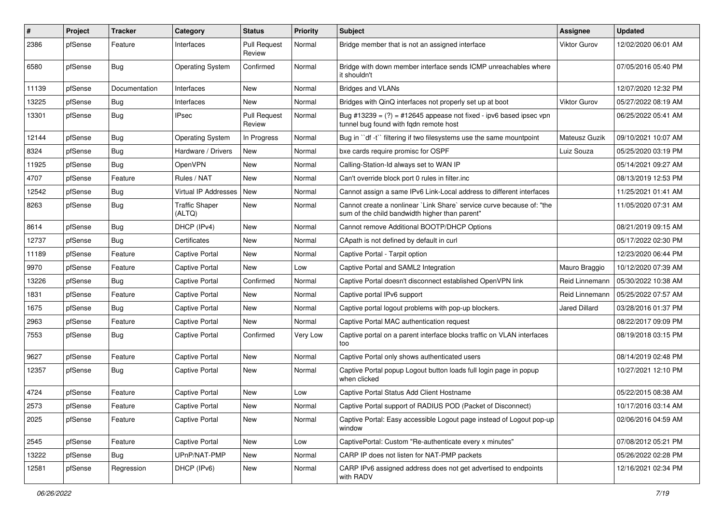| ∦     | Project | <b>Tracker</b> | Category                        | <b>Status</b>                 | <b>Priority</b> | <b>Subject</b>                                                                                                          | <b>Assignee</b>     | <b>Updated</b>      |
|-------|---------|----------------|---------------------------------|-------------------------------|-----------------|-------------------------------------------------------------------------------------------------------------------------|---------------------|---------------------|
| 2386  | pfSense | Feature        | Interfaces                      | <b>Pull Request</b><br>Review | Normal          | Bridge member that is not an assigned interface                                                                         | Viktor Gurov        | 12/02/2020 06:01 AM |
| 6580  | pfSense | Bug            | <b>Operating System</b>         | Confirmed                     | Normal          | Bridge with down member interface sends ICMP unreachables where<br>it shouldn't                                         |                     | 07/05/2016 05:40 PM |
| 11139 | pfSense | Documentation  | Interfaces                      | New                           | Normal          | <b>Bridges and VLANs</b>                                                                                                |                     | 12/07/2020 12:32 PM |
| 13225 | pfSense | <b>Bug</b>     | Interfaces                      | New                           | Normal          | Bridges with QinQ interfaces not properly set up at boot                                                                | <b>Viktor Gurov</b> | 05/27/2022 08:19 AM |
| 13301 | pfSense | Bug            | IPsec                           | <b>Pull Request</b><br>Review | Normal          | Bug #13239 = $(?)$ = #12645 appease not fixed - ipv6 based ipsec vpn<br>tunnel bug found with fgdn remote host          |                     | 06/25/2022 05:41 AM |
| 12144 | pfSense | Bug            | Operating System                | In Progress                   | Normal          | Bug in "df -t" filtering if two filesystems use the same mountpoint                                                     | Mateusz Guzik       | 09/10/2021 10:07 AM |
| 8324  | pfSense | Bug            | Hardware / Drivers              | New                           | Normal          | bxe cards require promisc for OSPF                                                                                      | Luiz Souza          | 05/25/2020 03:19 PM |
| 11925 | pfSense | <b>Bug</b>     | OpenVPN                         | New                           | Normal          | Calling-Station-Id always set to WAN IP                                                                                 |                     | 05/14/2021 09:27 AM |
| 4707  | pfSense | Feature        | Rules / NAT                     | New                           | Normal          | Can't override block port 0 rules in filter.inc                                                                         |                     | 08/13/2019 12:53 PM |
| 12542 | pfSense | Bug            | Virtual IP Addresses            | New                           | Normal          | Cannot assign a same IPv6 Link-Local address to different interfaces                                                    |                     | 11/25/2021 01:41 AM |
| 8263  | pfSense | <b>Bug</b>     | <b>Traffic Shaper</b><br>(ALTQ) | New                           | Normal          | Cannot create a nonlinear `Link Share` service curve because of: "the<br>sum of the child bandwidth higher than parent" |                     | 11/05/2020 07:31 AM |
| 8614  | pfSense | Bug            | DHCP (IPv4)                     | New                           | Normal          | Cannot remove Additional BOOTP/DHCP Options                                                                             |                     | 08/21/2019 09:15 AM |
| 12737 | pfSense | Bug            | Certificates                    | New                           | Normal          | CApath is not defined by default in curl                                                                                |                     | 05/17/2022 02:30 PM |
| 11189 | pfSense | Feature        | Captive Portal                  | New                           | Normal          | Captive Portal - Tarpit option                                                                                          |                     | 12/23/2020 06:44 PM |
| 9970  | pfSense | Feature        | Captive Portal                  | New                           | Low             | Captive Portal and SAML2 Integration                                                                                    | Mauro Braggio       | 10/12/2020 07:39 AM |
| 13226 | pfSense | Bug            | Captive Portal                  | Confirmed                     | Normal          | Captive Portal doesn't disconnect established OpenVPN link                                                              | Reid Linnemann      | 05/30/2022 10:38 AM |
| 1831  | pfSense | Feature        | Captive Portal                  | <b>New</b>                    | Normal          | Captive portal IPv6 support                                                                                             | Reid Linnemann      | 05/25/2022 07:57 AM |
| 1675  | pfSense | Bug            | Captive Portal                  | New                           | Normal          | Captive portal logout problems with pop-up blockers.                                                                    | Jared Dillard       | 03/28/2016 01:37 PM |
| 2963  | pfSense | Feature        | Captive Portal                  | New                           | Normal          | Captive Portal MAC authentication request                                                                               |                     | 08/22/2017 09:09 PM |
| 7553  | pfSense | <b>Bug</b>     | Captive Portal                  | Confirmed                     | Very Low        | Captive portal on a parent interface blocks traffic on VLAN interfaces<br>too                                           |                     | 08/19/2018 03:15 PM |
| 9627  | pfSense | Feature        | Captive Portal                  | New                           | Normal          | Captive Portal only shows authenticated users                                                                           |                     | 08/14/2019 02:48 PM |
| 12357 | pfSense | <b>Bug</b>     | Captive Portal                  | New                           | Normal          | Captive Portal popup Logout button loads full login page in popup<br>when clicked                                       |                     | 10/27/2021 12:10 PM |
| 4724  | pfSense | Feature        | Captive Portal                  | New                           | Low             | Captive Portal Status Add Client Hostname                                                                               |                     | 05/22/2015 08:38 AM |
| 2573  | pfSense | Feature        | Captive Portal                  | New                           | Normal          | Captive Portal support of RADIUS POD (Packet of Disconnect)                                                             |                     | 10/17/2016 03:14 AM |
| 2025  | pfSense | Feature        | Captive Portal                  | New                           | Normal          | Captive Portal: Easy accessible Logout page instead of Logout pop-up<br>window                                          |                     | 02/06/2016 04:59 AM |
| 2545  | pfSense | Feature        | Captive Portal                  | New                           | Low             | CaptivePortal: Custom "Re-authenticate every x minutes"                                                                 |                     | 07/08/2012 05:21 PM |
| 13222 | pfSense | <b>Bug</b>     | UPnP/NAT-PMP                    | New                           | Normal          | CARP IP does not listen for NAT-PMP packets                                                                             |                     | 05/26/2022 02:28 PM |
| 12581 | pfSense | Regression     | DHCP (IPv6)                     | New                           | Normal          | CARP IPv6 assigned address does not get advertised to endpoints<br>with RADV                                            |                     | 12/16/2021 02:34 PM |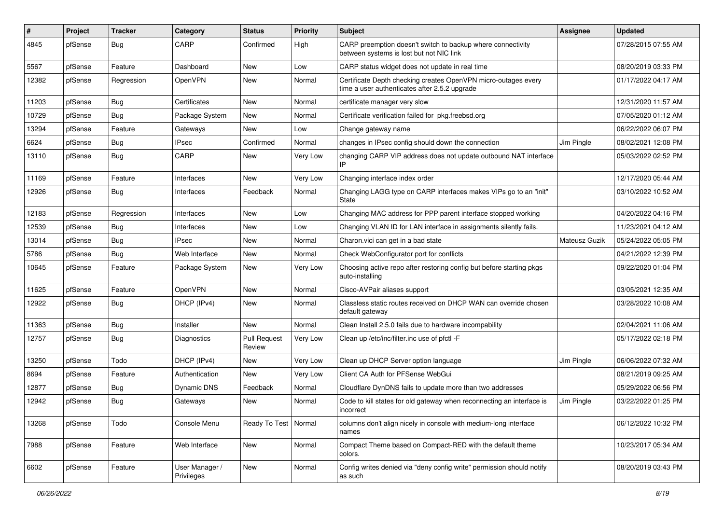| #     | Project | <b>Tracker</b> | Category                     | <b>Status</b>                 | <b>Priority</b> | Subject                                                                                                         | <b>Assignee</b> | <b>Updated</b>      |
|-------|---------|----------------|------------------------------|-------------------------------|-----------------|-----------------------------------------------------------------------------------------------------------------|-----------------|---------------------|
| 4845  | pfSense | <b>Bug</b>     | CARP                         | Confirmed                     | High            | CARP preemption doesn't switch to backup where connectivity<br>between systems is lost but not NIC link         |                 | 07/28/2015 07:55 AM |
| 5567  | pfSense | Feature        | Dashboard                    | New                           | Low             | CARP status widget does not update in real time                                                                 |                 | 08/20/2019 03:33 PM |
| 12382 | pfSense | Regression     | <b>OpenVPN</b>               | New                           | Normal          | Certificate Depth checking creates OpenVPN micro-outages every<br>time a user authenticates after 2.5.2 upgrade |                 | 01/17/2022 04:17 AM |
| 11203 | pfSense | Bug            | Certificates                 | New                           | Normal          | certificate manager very slow                                                                                   |                 | 12/31/2020 11:57 AM |
| 10729 | pfSense | <b>Bug</b>     | Package System               | New                           | Normal          | Certificate verification failed for pkg.freebsd.org                                                             |                 | 07/05/2020 01:12 AM |
| 13294 | pfSense | Feature        | Gateways                     | <b>New</b>                    | Low             | Change gateway name                                                                                             |                 | 06/22/2022 06:07 PM |
| 6624  | pfSense | <b>Bug</b>     | <b>IPsec</b>                 | Confirmed                     | Normal          | changes in IPsec config should down the connection                                                              | Jim Pingle      | 08/02/2021 12:08 PM |
| 13110 | pfSense | <b>Bug</b>     | CARP                         | New                           | Very Low        | changing CARP VIP address does not update outbound NAT interface<br>IP                                          |                 | 05/03/2022 02:52 PM |
| 11169 | pfSense | Feature        | Interfaces                   | New                           | Very Low        | Changing interface index order                                                                                  |                 | 12/17/2020 05:44 AM |
| 12926 | pfSense | <b>Bug</b>     | Interfaces                   | Feedback                      | Normal          | Changing LAGG type on CARP interfaces makes VIPs go to an "init"<br><b>State</b>                                |                 | 03/10/2022 10:52 AM |
| 12183 | pfSense | Regression     | Interfaces                   | <b>New</b>                    | Low             | Changing MAC address for PPP parent interface stopped working                                                   |                 | 04/20/2022 04:16 PM |
| 12539 | pfSense | <b>Bug</b>     | Interfaces                   | <b>New</b>                    | Low             | Changing VLAN ID for LAN interface in assignments silently fails.                                               |                 | 11/23/2021 04:12 AM |
| 13014 | pfSense | <b>Bug</b>     | IPsec                        | New                           | Normal          | Charon vici can get in a bad state                                                                              | Mateusz Guzik   | 05/24/2022 05:05 PM |
| 5786  | pfSense | Bug            | Web Interface                | <b>New</b>                    | Normal          | Check WebConfigurator port for conflicts                                                                        |                 | 04/21/2022 12:39 PM |
| 10645 | pfSense | Feature        | Package System               | New                           | Very Low        | Choosing active repo after restoring config but before starting pkgs<br>auto-installing                         |                 | 09/22/2020 01:04 PM |
| 11625 | pfSense | Feature        | <b>OpenVPN</b>               | <b>New</b>                    | Normal          | Cisco-AVPair aliases support                                                                                    |                 | 03/05/2021 12:35 AM |
| 12922 | pfSense | <b>Bug</b>     | DHCP (IPv4)                  | New                           | Normal          | Classless static routes received on DHCP WAN can override chosen<br>default gateway                             |                 | 03/28/2022 10:08 AM |
| 11363 | pfSense | <b>Bug</b>     | Installer                    | <b>New</b>                    | Normal          | Clean Install 2.5.0 fails due to hardware incompability                                                         |                 | 02/04/2021 11:06 AM |
| 12757 | pfSense | <b>Bug</b>     | Diagnostics                  | <b>Pull Request</b><br>Review | Very Low        | Clean up /etc/inc/filter.inc use of pfctl -F                                                                    |                 | 05/17/2022 02:18 PM |
| 13250 | pfSense | Todo           | DHCP (IPv4)                  | <b>New</b>                    | Very Low        | Clean up DHCP Server option language                                                                            | Jim Pingle      | 06/06/2022 07:32 AM |
| 8694  | pfSense | Feature        | Authentication               | New                           | Very Low        | Client CA Auth for PFSense WebGui                                                                               |                 | 08/21/2019 09:25 AM |
| 12877 | pfSense | <b>Bug</b>     | Dynamic DNS                  | Feedback                      | Normal          | Cloudflare DynDNS fails to update more than two addresses                                                       |                 | 05/29/2022 06:56 PM |
| 12942 | pfSense | <b>Bug</b>     | Gateways                     | New                           | Normal          | Code to kill states for old gateway when reconnecting an interface is<br><i><b>Incorrect</b></i>                | Jim Pingle      | 03/22/2022 01:25 PM |
| 13268 | pfSense | Todo           | Console Menu                 | Ready To Test   Normal        |                 | columns don't align nicely in console with medium-long interface<br>names                                       |                 | 06/12/2022 10:32 PM |
| 7988  | pfSense | Feature        | Web Interface                | New                           | Normal          | Compact Theme based on Compact-RED with the default theme<br>colors.                                            |                 | 10/23/2017 05:34 AM |
| 6602  | pfSense | Feature        | User Manager /<br>Privileges | New                           | Normal          | Config writes denied via "deny config write" permission should notify<br>as such                                |                 | 08/20/2019 03:43 PM |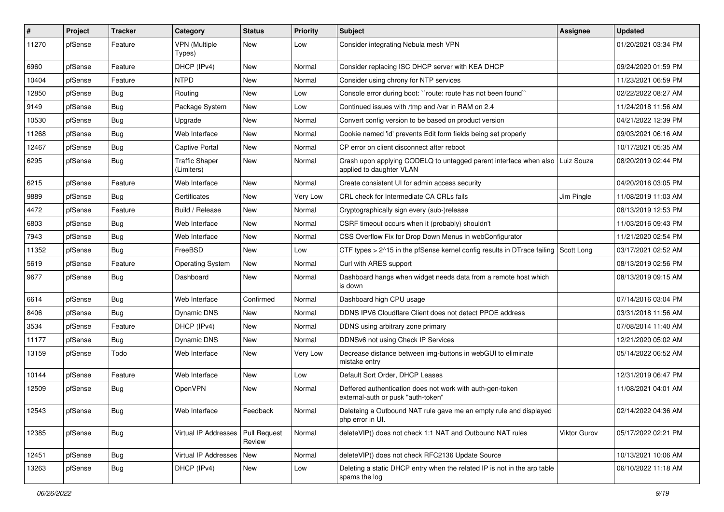| $\vert$ # | Project | <b>Tracker</b> | Category                            | <b>Status</b>          | <b>Priority</b> | <b>Subject</b>                                                                                             | <b>Assignee</b> | <b>Updated</b>      |
|-----------|---------|----------------|-------------------------------------|------------------------|-----------------|------------------------------------------------------------------------------------------------------------|-----------------|---------------------|
| 11270     | pfSense | Feature        | <b>VPN (Multiple</b><br>Types)      | New                    | Low             | Consider integrating Nebula mesh VPN                                                                       |                 | 01/20/2021 03:34 PM |
| 6960      | pfSense | Feature        | DHCP (IPv4)                         | New                    | Normal          | Consider replacing ISC DHCP server with KEA DHCP                                                           |                 | 09/24/2020 01:59 PM |
| 10404     | pfSense | Feature        | <b>NTPD</b>                         | New                    | Normal          | Consider using chrony for NTP services                                                                     |                 | 11/23/2021 06:59 PM |
| 12850     | pfSense | Bug            | Routing                             | New                    | Low             | Console error during boot: "route: route has not been found"                                               |                 | 02/22/2022 08:27 AM |
| 9149      | pfSense | Bug            | Package System                      | New                    | Low             | Continued issues with /tmp and /var in RAM on 2.4                                                          |                 | 11/24/2018 11:56 AM |
| 10530     | pfSense | Bug            | Upgrade                             | New                    | Normal          | Convert config version to be based on product version                                                      |                 | 04/21/2022 12:39 PM |
| 11268     | pfSense | Bug            | Web Interface                       | New                    | Normal          | Cookie named 'id' prevents Edit form fields being set properly                                             |                 | 09/03/2021 06:16 AM |
| 12467     | pfSense | Bug            | Captive Portal                      | New                    | Normal          | CP error on client disconnect after reboot                                                                 |                 | 10/17/2021 05:35 AM |
| 6295      | pfSense | <b>Bug</b>     | <b>Traffic Shaper</b><br>(Limiters) | New                    | Normal          | Crash upon applying CODELQ to untagged parent interface when also   Luiz Souza<br>applied to daughter VLAN |                 | 08/20/2019 02:44 PM |
| 6215      | pfSense | Feature        | Web Interface                       | New                    | Normal          | Create consistent UI for admin access security                                                             |                 | 04/20/2016 03:05 PM |
| 9889      | pfSense | Bug            | Certificates                        | New                    | Very Low        | CRL check for Intermediate CA CRLs fails                                                                   | Jim Pingle      | 11/08/2019 11:03 AM |
| 4472      | pfSense | Feature        | Build / Release                     | New                    | Normal          | Cryptographically sign every (sub-)release                                                                 |                 | 08/13/2019 12:53 PM |
| 6803      | pfSense | Bug            | Web Interface                       | New                    | Normal          | CSRF timeout occurs when it (probably) shouldn't                                                           |                 | 11/03/2016 09:43 PM |
| 7943      | pfSense | Bug            | Web Interface                       | New                    | Normal          | CSS Overflow Fix for Drop Down Menus in webConfigurator                                                    |                 | 11/21/2020 02:54 PM |
| 11352     | pfSense | Bug            | FreeBSD                             | New                    | Low             | CTF types > 2^15 in the pfSense kernel config results in DTrace failing Scott Long                         |                 | 03/17/2021 02:52 AM |
| 5619      | pfSense | Feature        | <b>Operating System</b>             | New                    | Normal          | Curl with ARES support                                                                                     |                 | 08/13/2019 02:56 PM |
| 9677      | pfSense | Bug            | Dashboard                           | New                    | Normal          | Dashboard hangs when widget needs data from a remote host which<br>is down                                 |                 | 08/13/2019 09:15 AM |
| 6614      | pfSense | Bug            | Web Interface                       | Confirmed              | Normal          | Dashboard high CPU usage                                                                                   |                 | 07/14/2016 03:04 PM |
| 8406      | pfSense | Bug            | Dynamic DNS                         | New                    | Normal          | DDNS IPV6 Cloudflare Client does not detect PPOE address                                                   |                 | 03/31/2018 11:56 AM |
| 3534      | pfSense | Feature        | DHCP (IPv4)                         | New                    | Normal          | DDNS using arbitrary zone primary                                                                          |                 | 07/08/2014 11:40 AM |
| 11177     | pfSense | <b>Bug</b>     | Dynamic DNS                         | New                    | Normal          | DDNSv6 not using Check IP Services                                                                         |                 | 12/21/2020 05:02 AM |
| 13159     | pfSense | Todo           | Web Interface                       | New                    | Very Low        | Decrease distance between img-buttons in webGUI to eliminate<br>mistake entry                              |                 | 05/14/2022 06:52 AM |
| 10144     | pfSense | Feature        | Web Interface                       | New                    | Low             | Default Sort Order, DHCP Leases                                                                            |                 | 12/31/2019 06:47 PM |
| 12509     | pfSense | <b>Bug</b>     | OpenVPN                             | New                    | Normal          | Deffered authentication does not work with auth-gen-token<br>external-auth or pusk "auth-token"            |                 | 11/08/2021 04:01 AM |
| 12543     | pfSense | <b>Bug</b>     | Web Interface                       | Feedback               | Normal          | Deleteing a Outbound NAT rule gave me an empty rule and displayed<br>php error in UI.                      |                 | 02/14/2022 04:36 AM |
| 12385     | pfSense | <b>Bug</b>     | Virtual IP Addresses                | Pull Request<br>Review | Normal          | deleteVIP() does not check 1:1 NAT and Outbound NAT rules                                                  | Viktor Gurov    | 05/17/2022 02:21 PM |
| 12451     | pfSense | Bug            | Virtual IP Addresses   New          |                        | Normal          | deleteVIP() does not check RFC2136 Update Source                                                           |                 | 10/13/2021 10:06 AM |
| 13263     | pfSense | <b>Bug</b>     | DHCP (IPv4)                         | New                    | Low             | Deleting a static DHCP entry when the related IP is not in the arp table<br>spams the log                  |                 | 06/10/2022 11:18 AM |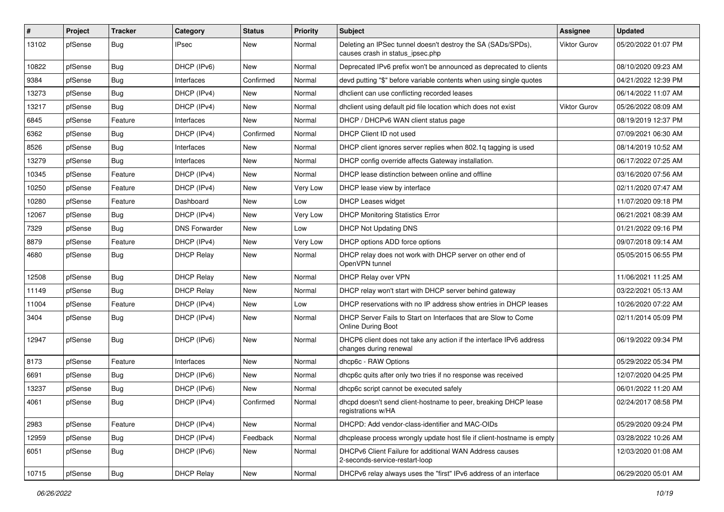| $\vert$ # | Project | <b>Tracker</b> | Category             | <b>Status</b> | <b>Priority</b> | Subject                                                                                          | <b>Assignee</b>     | <b>Updated</b>      |
|-----------|---------|----------------|----------------------|---------------|-----------------|--------------------------------------------------------------------------------------------------|---------------------|---------------------|
| 13102     | pfSense | <b>Bug</b>     | <b>IPsec</b>         | New           | Normal          | Deleting an IPSec tunnel doesn't destroy the SA (SADs/SPDs),<br>causes crash in status_ipsec.php | <b>Viktor Gurov</b> | 05/20/2022 01:07 PM |
| 10822     | pfSense | Bug            | DHCP (IPv6)          | <b>New</b>    | Normal          | Deprecated IPv6 prefix won't be announced as deprecated to clients                               |                     | 08/10/2020 09:23 AM |
| 9384      | pfSense | Bug            | Interfaces           | Confirmed     | Normal          | devd putting "\$" before variable contents when using single quotes                              |                     | 04/21/2022 12:39 PM |
| 13273     | pfSense | <b>Bug</b>     | DHCP (IPv4)          | New           | Normal          | dholient can use conflicting recorded leases                                                     |                     | 06/14/2022 11:07 AM |
| 13217     | pfSense | Bug            | DHCP (IPv4)          | New           | Normal          | dhclient using default pid file location which does not exist                                    | Viktor Gurov        | 05/26/2022 08:09 AM |
| 6845      | pfSense | Feature        | Interfaces           | New           | Normal          | DHCP / DHCPv6 WAN client status page                                                             |                     | 08/19/2019 12:37 PM |
| 6362      | pfSense | <b>Bug</b>     | DHCP (IPv4)          | Confirmed     | Normal          | DHCP Client ID not used                                                                          |                     | 07/09/2021 06:30 AM |
| 8526      | pfSense | Bug            | Interfaces           | New           | Normal          | DHCP client ignores server replies when 802.1q tagging is used                                   |                     | 08/14/2019 10:52 AM |
| 13279     | pfSense | Bug            | Interfaces           | <b>New</b>    | Normal          | DHCP config override affects Gateway installation.                                               |                     | 06/17/2022 07:25 AM |
| 10345     | pfSense | Feature        | DHCP (IPv4)          | New           | Normal          | DHCP lease distinction between online and offline                                                |                     | 03/16/2020 07:56 AM |
| 10250     | pfSense | Feature        | DHCP (IPv4)          | New           | Very Low        | DHCP lease view by interface                                                                     |                     | 02/11/2020 07:47 AM |
| 10280     | pfSense | Feature        | Dashboard            | <b>New</b>    | Low             | <b>DHCP Leases widget</b>                                                                        |                     | 11/07/2020 09:18 PM |
| 12067     | pfSense | <b>Bug</b>     | DHCP (IPv4)          | New           | Very Low        | <b>DHCP Monitoring Statistics Error</b>                                                          |                     | 06/21/2021 08:39 AM |
| 7329      | pfSense | <b>Bug</b>     | <b>DNS Forwarder</b> | <b>New</b>    | Low             | DHCP Not Updating DNS                                                                            |                     | 01/21/2022 09:16 PM |
| 8879      | pfSense | Feature        | DHCP (IPv4)          | New           | Very Low        | DHCP options ADD force options                                                                   |                     | 09/07/2018 09:14 AM |
| 4680      | pfSense | Bug            | <b>DHCP Relay</b>    | New           | Normal          | DHCP relay does not work with DHCP server on other end of<br>OpenVPN tunnel                      |                     | 05/05/2015 06:55 PM |
| 12508     | pfSense | Bug            | <b>DHCP Relay</b>    | <b>New</b>    | Normal          | DHCP Relay over VPN                                                                              |                     | 11/06/2021 11:25 AM |
| 11149     | pfSense | <b>Bug</b>     | <b>DHCP Relay</b>    | New           | Normal          | DHCP relay won't start with DHCP server behind gateway                                           |                     | 03/22/2021 05:13 AM |
| 11004     | pfSense | Feature        | DHCP (IPv4)          | <b>New</b>    | Low             | DHCP reservations with no IP address show entries in DHCP leases                                 |                     | 10/26/2020 07:22 AM |
| 3404      | pfSense | <b>Bug</b>     | DHCP (IPv4)          | New           | Normal          | DHCP Server Fails to Start on Interfaces that are Slow to Come<br><b>Online During Boot</b>      |                     | 02/11/2014 05:09 PM |
| 12947     | pfSense | Bug            | DHCP (IPv6)          | <b>New</b>    | Normal          | DHCP6 client does not take any action if the interface IPv6 address<br>changes during renewal    |                     | 06/19/2022 09:34 PM |
| 8173      | pfSense | Feature        | Interfaces           | <b>New</b>    | Normal          | dhcp6c - RAW Options                                                                             |                     | 05/29/2022 05:34 PM |
| 6691      | pfSense | <b>Bug</b>     | DHCP (IPv6)          | New           | Normal          | dhcp6c quits after only two tries if no response was received                                    |                     | 12/07/2020 04:25 PM |
| 13237     | pfSense | Bug            | DHCP (IPv6)          | New           | Normal          | dhcp6c script cannot be executed safely                                                          |                     | 06/01/2022 11:20 AM |
| 4061      | pfSense | <b>Bug</b>     | DHCP (IPv4)          | Confirmed     | Normal          | dhcpd doesn't send client-hostname to peer, breaking DHCP lease<br>registrations w/HA            |                     | 02/24/2017 08:58 PM |
| 2983      | pfSense | Feature        | DHCP (IPv4)          | <b>New</b>    | Normal          | DHCPD: Add vendor-class-identifier and MAC-OIDs                                                  |                     | 05/29/2020 09:24 PM |
| 12959     | pfSense | <b>Bug</b>     | DHCP (IPv4)          | Feedback      | Normal          | dhcplease process wrongly update host file if client-hostname is empty                           |                     | 03/28/2022 10:26 AM |
| 6051      | pfSense | <b>Bug</b>     | DHCP (IPv6)          | New           | Normal          | DHCPv6 Client Failure for additional WAN Address causes<br>2-seconds-service-restart-loop        |                     | 12/03/2020 01:08 AM |
| 10715     | pfSense | <b>Bug</b>     | <b>DHCP Relay</b>    | New           | Normal          | DHCPv6 relay always uses the "first" IPv6 address of an interface                                |                     | 06/29/2020 05:01 AM |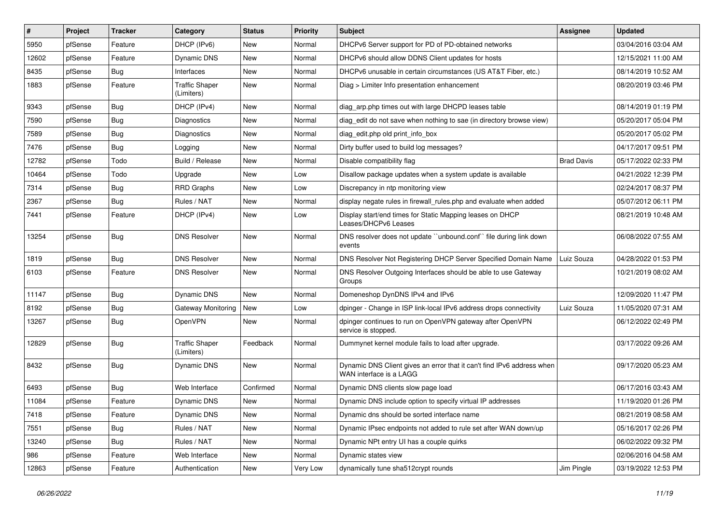| #     | Project | <b>Tracker</b> | Category                            | <b>Status</b> | <b>Priority</b> | Subject                                                                                           | <b>Assignee</b>   | <b>Updated</b>      |
|-------|---------|----------------|-------------------------------------|---------------|-----------------|---------------------------------------------------------------------------------------------------|-------------------|---------------------|
| 5950  | pfSense | Feature        | DHCP (IPv6)                         | New           | Normal          | DHCPv6 Server support for PD of PD-obtained networks                                              |                   | 03/04/2016 03:04 AM |
| 12602 | pfSense | Feature        | Dynamic DNS                         | <b>New</b>    | Normal          | DHCPv6 should allow DDNS Client updates for hosts                                                 |                   | 12/15/2021 11:00 AM |
| 8435  | pfSense | Bug            | Interfaces                          | New           | Normal          | DHCPv6 unusable in certain circumstances (US AT&T Fiber, etc.)                                    |                   | 08/14/2019 10:52 AM |
| 1883  | pfSense | Feature        | <b>Traffic Shaper</b><br>(Limiters) | New           | Normal          | Diag > Limiter Info presentation enhancement                                                      |                   | 08/20/2019 03:46 PM |
| 9343  | pfSense | <b>Bug</b>     | DHCP (IPv4)                         | <b>New</b>    | Normal          | diag arp.php times out with large DHCPD leases table                                              |                   | 08/14/2019 01:19 PM |
| 7590  | pfSense | <b>Bug</b>     | <b>Diagnostics</b>                  | New           | Normal          | diag edit do not save when nothing to sae (in directory browse view)                              |                   | 05/20/2017 05:04 PM |
| 7589  | pfSense | <b>Bug</b>     | Diagnostics                         | <b>New</b>    | Normal          | diag edit.php old print info box                                                                  |                   | 05/20/2017 05:02 PM |
| 7476  | pfSense | <b>Bug</b>     | Logging                             | New           | Normal          | Dirty buffer used to build log messages?                                                          |                   | 04/17/2017 09:51 PM |
| 12782 | pfSense | Todo           | Build / Release                     | New           | Normal          | Disable compatibility flag                                                                        | <b>Brad Davis</b> | 05/17/2022 02:33 PM |
| 10464 | pfSense | Todo           | Upgrade                             | New           | Low             | Disallow package updates when a system update is available                                        |                   | 04/21/2022 12:39 PM |
| 7314  | pfSense | <b>Bug</b>     | <b>RRD Graphs</b>                   | New           | Low             | Discrepancy in ntp monitoring view                                                                |                   | 02/24/2017 08:37 PM |
| 2367  | pfSense | Bug            | Rules / NAT                         | <b>New</b>    | Normal          | display negate rules in firewall rules php and evaluate when added                                |                   | 05/07/2012 06:11 PM |
| 7441  | pfSense | Feature        | DHCP (IPv4)                         | New           | Low             | Display start/end times for Static Mapping leases on DHCP<br>Leases/DHCPv6 Leases                 |                   | 08/21/2019 10:48 AM |
| 13254 | pfSense | <b>Bug</b>     | <b>DNS Resolver</b>                 | <b>New</b>    | Normal          | DNS resolver does not update "unbound.conf" file during link down<br>events                       |                   | 06/08/2022 07:55 AM |
| 1819  | pfSense | Bug            | <b>DNS Resolver</b>                 | New           | Normal          | DNS Resolver Not Registering DHCP Server Specified Domain Name                                    | Luiz Souza        | 04/28/2022 01:53 PM |
| 6103  | pfSense | Feature        | <b>DNS Resolver</b>                 | New           | Normal          | DNS Resolver Outgoing Interfaces should be able to use Gateway<br>Groups                          |                   | 10/21/2019 08:02 AM |
| 11147 | pfSense | Bug            | <b>Dynamic DNS</b>                  | <b>New</b>    | Normal          | Domeneshop DynDNS IPv4 and IPv6                                                                   |                   | 12/09/2020 11:47 PM |
| 8192  | pfSense | <b>Bug</b>     | Gateway Monitoring                  | New           | Low             | dpinger - Change in ISP link-local IPv6 address drops connectivity                                | Luiz Souza        | 11/05/2020 07:31 AM |
| 13267 | pfSense | <b>Bug</b>     | OpenVPN                             | New           | Normal          | dpinger continues to run on OpenVPN gateway after OpenVPN<br>service is stopped.                  |                   | 06/12/2022 02:49 PM |
| 12829 | pfSense | <b>Bug</b>     | <b>Traffic Shaper</b><br>(Limiters) | Feedback      | Normal          | Dummynet kernel module fails to load after upgrade.                                               |                   | 03/17/2022 09:26 AM |
| 8432  | pfSense | <b>Bug</b>     | Dynamic DNS                         | <b>New</b>    | Normal          | Dynamic DNS Client gives an error that it can't find IPv6 address when<br>WAN interface is a LAGG |                   | 09/17/2020 05:23 AM |
| 6493  | pfSense | Bug            | Web Interface                       | Confirmed     | Normal          | Dynamic DNS clients slow page load                                                                |                   | 06/17/2016 03:43 AM |
| 11084 | pfSense | Feature        | Dynamic DNS                         | New           | Normal          | Dynamic DNS include option to specify virtual IP addresses                                        |                   | 11/19/2020 01:26 PM |
| 7418  | pfSense | Feature        | Dynamic DNS                         | New           | Normal          | Dynamic dns should be sorted interface name                                                       |                   | 08/21/2019 08:58 AM |
| 7551  | pfSense | <b>Bug</b>     | Rules / NAT                         | New           | Normal          | Dynamic IPsec endpoints not added to rule set after WAN down/up                                   |                   | 05/16/2017 02:26 PM |
| 13240 | pfSense | <b>Bug</b>     | Rules / NAT                         | New           | Normal          | Dynamic NPt entry UI has a couple quirks                                                          |                   | 06/02/2022 09:32 PM |
| 986   | pfSense | Feature        | Web Interface                       | New           | Normal          | Dynamic states view                                                                               |                   | 02/06/2016 04:58 AM |
| 12863 | pfSense | Feature        | Authentication                      | New           | Very Low        | dynamically tune sha512crypt rounds                                                               | Jim Pingle        | 03/19/2022 12:53 PM |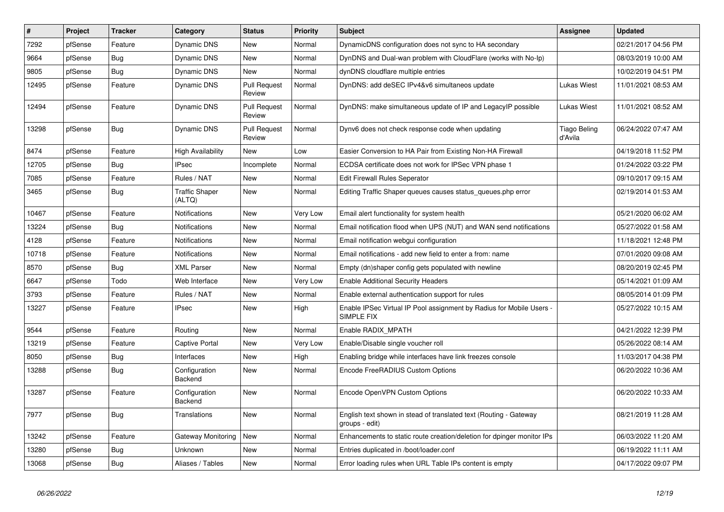| #     | Project | <b>Tracker</b> | Category                        | <b>Status</b>                 | <b>Priority</b> | <b>Subject</b>                                                                      | Assignee                       | <b>Updated</b>      |
|-------|---------|----------------|---------------------------------|-------------------------------|-----------------|-------------------------------------------------------------------------------------|--------------------------------|---------------------|
| 7292  | pfSense | Feature        | <b>Dynamic DNS</b>              | New                           | Normal          | DynamicDNS configuration does not sync to HA secondary                              |                                | 02/21/2017 04:56 PM |
| 9664  | pfSense | Bug            | Dynamic DNS                     | New                           | Normal          | DynDNS and Dual-wan problem with CloudFlare (works with No-Ip)                      |                                | 08/03/2019 10:00 AM |
| 9805  | pfSense | Bug            | Dynamic DNS                     | <b>New</b>                    | Normal          | dynDNS cloudflare multiple entries                                                  |                                | 10/02/2019 04:51 PM |
| 12495 | pfSense | Feature        | Dynamic DNS                     | <b>Pull Request</b><br>Review | Normal          | DynDNS: add deSEC IPv4&v6 simultaneos update                                        | Lukas Wiest                    | 11/01/2021 08:53 AM |
| 12494 | pfSense | Feature        | Dynamic DNS                     | <b>Pull Request</b><br>Review | Normal          | DynDNS: make simultaneous update of IP and LegacyIP possible                        | Lukas Wiest                    | 11/01/2021 08:52 AM |
| 13298 | pfSense | <b>Bug</b>     | <b>Dynamic DNS</b>              | <b>Pull Request</b><br>Review | Normal          | Dynv6 does not check response code when updating                                    | <b>Tiago Beling</b><br>d'Avila | 06/24/2022 07:47 AM |
| 8474  | pfSense | Feature        | <b>High Availability</b>        | New                           | Low             | Easier Conversion to HA Pair from Existing Non-HA Firewall                          |                                | 04/19/2018 11:52 PM |
| 12705 | pfSense | Bug            | <b>IPsec</b>                    | Incomplete                    | Normal          | ECDSA certificate does not work for IPSec VPN phase 1                               |                                | 01/24/2022 03:22 PM |
| 7085  | pfSense | Feature        | Rules / NAT                     | New                           | Normal          | <b>Edit Firewall Rules Seperator</b>                                                |                                | 09/10/2017 09:15 AM |
| 3465  | pfSense | <b>Bug</b>     | <b>Traffic Shaper</b><br>(ALTQ) | <b>New</b>                    | Normal          | Editing Traffic Shaper queues causes status_queues.php error                        |                                | 02/19/2014 01:53 AM |
| 10467 | pfSense | Feature        | Notifications                   | New                           | Very Low        | Email alert functionality for system health                                         |                                | 05/21/2020 06:02 AM |
| 13224 | pfSense | <b>Bug</b>     | Notifications                   | New                           | Normal          | Email notification flood when UPS (NUT) and WAN send notifications                  |                                | 05/27/2022 01:58 AM |
| 4128  | pfSense | Feature        | Notifications                   | New                           | Normal          | Email notification webgui configuration                                             |                                | 11/18/2021 12:48 PM |
| 10718 | pfSense | Feature        | Notifications                   | New                           | Normal          | Email notifications - add new field to enter a from: name                           |                                | 07/01/2020 09:08 AM |
| 8570  | pfSense | <b>Bug</b>     | <b>XML Parser</b>               | <b>New</b>                    | Normal          | Empty (dn)shaper config gets populated with newline                                 |                                | 08/20/2019 02:45 PM |
| 6647  | pfSense | Todo           | Web Interface                   | <b>New</b>                    | Very Low        | <b>Enable Additional Security Headers</b>                                           |                                | 05/14/2021 01:09 AM |
| 3793  | pfSense | Feature        | Rules / NAT                     | New                           | Normal          | Enable external authentication support for rules                                    |                                | 08/05/2014 01:09 PM |
| 13227 | pfSense | Feature        | <b>IPsec</b>                    | New                           | High            | Enable IPSec Virtual IP Pool assignment by Radius for Mobile Users -<br>SIMPLE FIX  |                                | 05/27/2022 10:15 AM |
| 9544  | pfSense | Feature        | Routing                         | <b>New</b>                    | Normal          | Enable RADIX MPATH                                                                  |                                | 04/21/2022 12:39 PM |
| 13219 | pfSense | Feature        | <b>Captive Portal</b>           | New                           | Very Low        | Enable/Disable single voucher roll                                                  |                                | 05/26/2022 08:14 AM |
| 8050  | pfSense | <b>Bug</b>     | Interfaces                      | New                           | High            | Enabling bridge while interfaces have link freezes console                          |                                | 11/03/2017 04:38 PM |
| 13288 | pfSense | <b>Bug</b>     | Configuration<br>Backend        | <b>New</b>                    | Normal          | Encode FreeRADIUS Custom Options                                                    |                                | 06/20/2022 10:36 AM |
| 13287 | pfSense | Feature        | Configuration<br>Backend        | New                           | Normal          | Encode OpenVPN Custom Options                                                       |                                | 06/20/2022 10:33 AM |
| 7977  | pfSense | Bug            | Translations                    | New                           | Normal          | English text shown in stead of translated text (Routing - Gateway<br>groups - edit) |                                | 08/21/2019 11:28 AM |
| 13242 | pfSense | Feature        | Gateway Monitoring              | New                           | Normal          | Enhancements to static route creation/deletion for dpinger monitor IPs              |                                | 06/03/2022 11:20 AM |
| 13280 | pfSense | <b>Bug</b>     | Unknown                         | New                           | Normal          | Entries duplicated in /boot/loader.conf                                             |                                | 06/19/2022 11:11 AM |
| 13068 | pfSense | <b>Bug</b>     | Aliases / Tables                | New                           | Normal          | Error loading rules when URL Table IPs content is empty                             |                                | 04/17/2022 09:07 PM |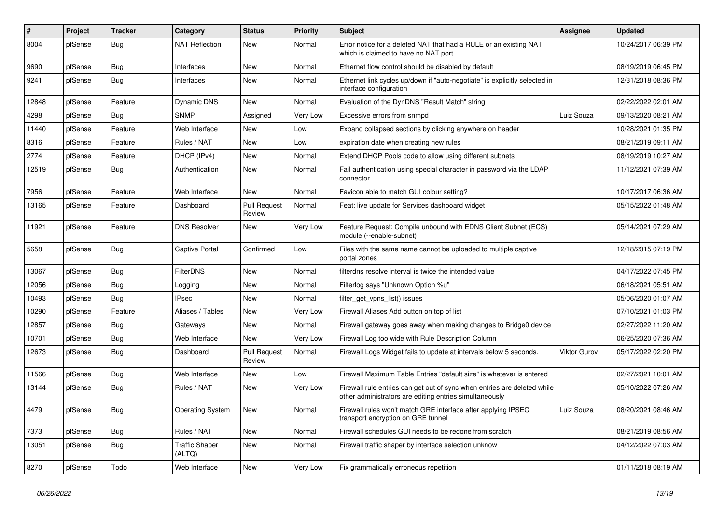| #     | Project | <b>Tracker</b> | Category                        | <b>Status</b>                 | <b>Priority</b> | <b>Subject</b>                                                                                                                      | Assignee     | <b>Updated</b>      |
|-------|---------|----------------|---------------------------------|-------------------------------|-----------------|-------------------------------------------------------------------------------------------------------------------------------------|--------------|---------------------|
| 8004  | pfSense | <b>Bug</b>     | NAT Reflection                  | New                           | Normal          | Error notice for a deleted NAT that had a RULE or an existing NAT<br>which is claimed to have no NAT port                           |              | 10/24/2017 06:39 PM |
| 9690  | pfSense | Bug            | Interfaces                      | New                           | Normal          | Ethernet flow control should be disabled by default                                                                                 |              | 08/19/2019 06:45 PM |
| 9241  | pfSense | Bug            | Interfaces                      | New                           | Normal          | Ethernet link cycles up/down if "auto-negotiate" is explicitly selected in<br>interface configuration                               |              | 12/31/2018 08:36 PM |
| 12848 | pfSense | Feature        | Dynamic DNS                     | New                           | Normal          | Evaluation of the DynDNS "Result Match" string                                                                                      |              | 02/22/2022 02:01 AM |
| 4298  | pfSense | <b>Bug</b>     | <b>SNMP</b>                     | Assigned                      | Very Low        | Excessive errors from snmpd                                                                                                         | Luiz Souza   | 09/13/2020 08:21 AM |
| 11440 | pfSense | Feature        | Web Interface                   | New                           | Low             | Expand collapsed sections by clicking anywhere on header                                                                            |              | 10/28/2021 01:35 PM |
| 8316  | pfSense | Feature        | Rules / NAT                     | New                           | Low             | expiration date when creating new rules                                                                                             |              | 08/21/2019 09:11 AM |
| 2774  | pfSense | Feature        | DHCP (IPv4)                     | New                           | Normal          | Extend DHCP Pools code to allow using different subnets                                                                             |              | 08/19/2019 10:27 AM |
| 12519 | pfSense | <b>Bug</b>     | Authentication                  | New                           | Normal          | Fail authentication using special character in password via the LDAP<br>connector                                                   |              | 11/12/2021 07:39 AM |
| 7956  | pfSense | Feature        | Web Interface                   | New                           | Normal          | Favicon able to match GUI colour setting?                                                                                           |              | 10/17/2017 06:36 AM |
| 13165 | pfSense | Feature        | Dashboard                       | <b>Pull Request</b><br>Review | Normal          | Feat: live update for Services dashboard widget                                                                                     |              | 05/15/2022 01:48 AM |
| 11921 | pfSense | Feature        | <b>DNS Resolver</b>             | New                           | Very Low        | Feature Request: Compile unbound with EDNS Client Subnet (ECS)<br>module (--enable-subnet)                                          |              | 05/14/2021 07:29 AM |
| 5658  | pfSense | Bug            | <b>Captive Portal</b>           | Confirmed                     | Low             | Files with the same name cannot be uploaded to multiple captive<br>portal zones                                                     |              | 12/18/2015 07:19 PM |
| 13067 | pfSense | Bug            | <b>FilterDNS</b>                | New                           | Normal          | filterdns resolve interval is twice the intended value                                                                              |              | 04/17/2022 07:45 PM |
| 12056 | pfSense | <b>Bug</b>     | Logging                         | New                           | Normal          | Filterlog says "Unknown Option %u"                                                                                                  |              | 06/18/2021 05:51 AM |
| 10493 | pfSense | Bug            | IPsec                           | New                           | Normal          | filter_get_vpns_list() issues                                                                                                       |              | 05/06/2020 01:07 AM |
| 10290 | pfSense | Feature        | Aliases / Tables                | New                           | Very Low        | Firewall Aliases Add button on top of list                                                                                          |              | 07/10/2021 01:03 PM |
| 12857 | pfSense | <b>Bug</b>     | Gateways                        | New                           | Normal          | Firewall gateway goes away when making changes to Bridge0 device                                                                    |              | 02/27/2022 11:20 AM |
| 10701 | pfSense | <b>Bug</b>     | Web Interface                   | New                           | Very Low        | Firewall Log too wide with Rule Description Column                                                                                  |              | 06/25/2020 07:36 AM |
| 12673 | pfSense | <b>Bug</b>     | Dashboard                       | <b>Pull Request</b><br>Review | Normal          | Firewall Logs Widget fails to update at intervals below 5 seconds.                                                                  | Viktor Gurov | 05/17/2022 02:20 PM |
| 11566 | pfSense | <b>Bug</b>     | Web Interface                   | New                           | Low             | Firewall Maximum Table Entries "default size" is whatever is entered                                                                |              | 02/27/2021 10:01 AM |
| 13144 | pfSense | Bug            | Rules / NAT                     | New                           | Very Low        | Firewall rule entries can get out of sync when entries are deleted while<br>other administrators are editing entries simultaneously |              | 05/10/2022 07:26 AM |
| 4479  | pfSense | Bug            | <b>Operating System</b>         | New                           | Normal          | Firewall rules won't match GRE interface after applying IPSEC<br>transport encryption on GRE tunnel                                 | Luiz Souza   | 08/20/2021 08:46 AM |
| 7373  | pfSense | Bug            | Rules / NAT                     | New                           | Normal          | Firewall schedules GUI needs to be redone from scratch                                                                              |              | 08/21/2019 08:56 AM |
| 13051 | pfSense | <b>Bug</b>     | <b>Traffic Shaper</b><br>(ALTQ) | New                           | Normal          | Firewall traffic shaper by interface selection unknow                                                                               |              | 04/12/2022 07:03 AM |
| 8270  | pfSense | Todo           | Web Interface                   | New                           | Very Low        | Fix grammatically erroneous repetition                                                                                              |              | 01/11/2018 08:19 AM |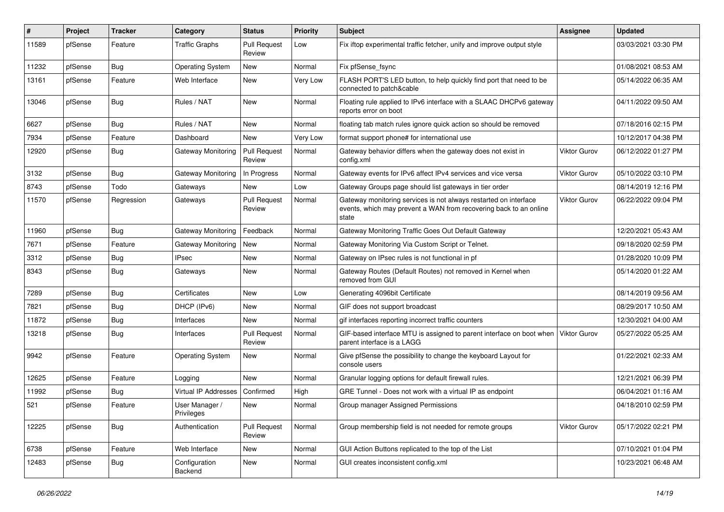| ∦     | Project | <b>Tracker</b> | Category                     | <b>Status</b>                 | <b>Priority</b> | <b>Subject</b>                                                                                                                                 | <b>Assignee</b> | <b>Updated</b>      |
|-------|---------|----------------|------------------------------|-------------------------------|-----------------|------------------------------------------------------------------------------------------------------------------------------------------------|-----------------|---------------------|
| 11589 | pfSense | Feature        | <b>Traffic Graphs</b>        | <b>Pull Request</b><br>Review | Low             | Fix iftop experimental traffic fetcher, unify and improve output style                                                                         |                 | 03/03/2021 03:30 PM |
| 11232 | pfSense | <b>Bug</b>     | <b>Operating System</b>      | New                           | Normal          | Fix pfSense fsync                                                                                                                              |                 | 01/08/2021 08:53 AM |
| 13161 | pfSense | Feature        | Web Interface                | New                           | Very Low        | FLASH PORT'S LED button, to help quickly find port that need to be<br>connected to patch&cable                                                 |                 | 05/14/2022 06:35 AM |
| 13046 | pfSense | Bug            | Rules / NAT                  | New                           | Normal          | Floating rule applied to IPv6 interface with a SLAAC DHCPv6 gateway<br>reports error on boot                                                   |                 | 04/11/2022 09:50 AM |
| 6627  | pfSense | Bug            | Rules / NAT                  | New                           | Normal          | floating tab match rules ignore quick action so should be removed                                                                              |                 | 07/18/2016 02:15 PM |
| 7934  | pfSense | Feature        | Dashboard                    | New                           | Very Low        | format support phone# for international use                                                                                                    |                 | 10/12/2017 04:38 PM |
| 12920 | pfSense | <b>Bug</b>     | Gateway Monitoring           | <b>Pull Request</b><br>Review | Normal          | Gateway behavior differs when the gateway does not exist in<br>config.xml                                                                      | Viktor Gurov    | 06/12/2022 01:27 PM |
| 3132  | pfSense | Bug            | <b>Gateway Monitoring</b>    | In Progress                   | Normal          | Gateway events for IPv6 affect IPv4 services and vice versa                                                                                    | Viktor Gurov    | 05/10/2022 03:10 PM |
| 8743  | pfSense | Todo           | Gateways                     | New                           | Low             | Gateway Groups page should list gateways in tier order                                                                                         |                 | 08/14/2019 12:16 PM |
| 11570 | pfSense | Regression     | Gateways                     | <b>Pull Request</b><br>Review | Normal          | Gateway monitoring services is not always restarted on interface<br>events, which may prevent a WAN from recovering back to an online<br>state | Viktor Gurov    | 06/22/2022 09:04 PM |
| 11960 | pfSense | Bug            | Gateway Monitoring           | Feedback                      | Normal          | Gateway Monitoring Traffic Goes Out Default Gateway                                                                                            |                 | 12/20/2021 05:43 AM |
| 7671  | pfSense | Feature        | Gateway Monitoring           | New                           | Normal          | Gateway Monitoring Via Custom Script or Telnet.                                                                                                |                 | 09/18/2020 02:59 PM |
| 3312  | pfSense | Bug            | <b>IPsec</b>                 | New                           | Normal          | Gateway on IPsec rules is not functional in pf                                                                                                 |                 | 01/28/2020 10:09 PM |
| 8343  | pfSense | <b>Bug</b>     | Gateways                     | New                           | Normal          | Gateway Routes (Default Routes) not removed in Kernel when<br>removed from GUI                                                                 |                 | 05/14/2020 01:22 AM |
| 7289  | pfSense | Bug            | Certificates                 | New                           | Low             | Generating 4096bit Certificate                                                                                                                 |                 | 08/14/2019 09:56 AM |
| 7821  | pfSense | <b>Bug</b>     | DHCP (IPv6)                  | New                           | Normal          | GIF does not support broadcast                                                                                                                 |                 | 08/29/2017 10:50 AM |
| 11872 | pfSense | Bug            | Interfaces                   | New                           | Normal          | gif interfaces reporting incorrect traffic counters                                                                                            |                 | 12/30/2021 04:00 AM |
| 13218 | pfSense | <b>Bug</b>     | Interfaces                   | <b>Pull Request</b><br>Review | Normal          | GIF-based interface MTU is assigned to parent interface on boot when<br>parent interface is a LAGG                                             | Viktor Gurov    | 05/27/2022 05:25 AM |
| 9942  | pfSense | Feature        | <b>Operating System</b>      | New                           | Normal          | Give pfSense the possibility to change the keyboard Layout for<br>console users                                                                |                 | 01/22/2021 02:33 AM |
| 12625 | pfSense | Feature        | Logging                      | New                           | Normal          | Granular logging options for default firewall rules.                                                                                           |                 | 12/21/2021 06:39 PM |
| 11992 | pfSense | <b>Bug</b>     | Virtual IP Addresses         | Confirmed                     | High            | GRE Tunnel - Does not work with a virtual IP as endpoint                                                                                       |                 | 06/04/2021 01:16 AM |
| 521   | pfSense | Feature        | User Manager /<br>Privileges | New                           | Normal          | Group manager Assigned Permissions                                                                                                             |                 | 04/18/2010 02:59 PM |
| 12225 | pfSense | <b>Bug</b>     | Authentication               | <b>Pull Request</b><br>Review | Normal          | Group membership field is not needed for remote groups                                                                                         | Viktor Gurov    | 05/17/2022 02:21 PM |
| 6738  | pfSense | Feature        | Web Interface                | New                           | Normal          | GUI Action Buttons replicated to the top of the List                                                                                           |                 | 07/10/2021 01:04 PM |
| 12483 | pfSense | <b>Bug</b>     | Configuration<br>Backend     | New                           | Normal          | GUI creates inconsistent config.xml                                                                                                            |                 | 10/23/2021 06:48 AM |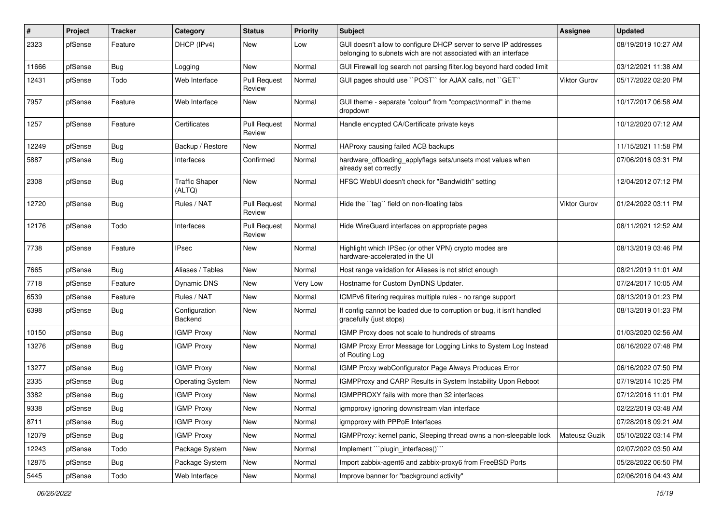| #     | Project | <b>Tracker</b> | Category                        | <b>Status</b>                 | <b>Priority</b> | Subject                                                                                                                            | Assignee            | <b>Updated</b>      |
|-------|---------|----------------|---------------------------------|-------------------------------|-----------------|------------------------------------------------------------------------------------------------------------------------------------|---------------------|---------------------|
| 2323  | pfSense | Feature        | DHCP (IPv4)                     | New                           | Low             | GUI doesn't allow to configure DHCP server to serve IP addresses<br>belonging to subnets wich are not associated with an interface |                     | 08/19/2019 10:27 AM |
| 11666 | pfSense | Bug            | Logging                         | <b>New</b>                    | Normal          | GUI Firewall log search not parsing filter.log beyond hard coded limit                                                             |                     | 03/12/2021 11:38 AM |
| 12431 | pfSense | Todo           | Web Interface                   | <b>Pull Request</b><br>Review | Normal          | GUI pages should use "POST" for AJAX calls, not "GET"                                                                              | Viktor Gurov        | 05/17/2022 02:20 PM |
| 7957  | pfSense | Feature        | Web Interface                   | New                           | Normal          | GUI theme - separate "colour" from "compact/normal" in theme<br>dropdown                                                           |                     | 10/17/2017 06:58 AM |
| 1257  | pfSense | Feature        | Certificates                    | <b>Pull Request</b><br>Review | Normal          | Handle encypted CA/Certificate private keys                                                                                        |                     | 10/12/2020 07:12 AM |
| 12249 | pfSense | Bug            | Backup / Restore                | New                           | Normal          | HAProxy causing failed ACB backups                                                                                                 |                     | 11/15/2021 11:58 PM |
| 5887  | pfSense | <b>Bug</b>     | Interfaces                      | Confirmed                     | Normal          | hardware_offloading_applyflags sets/unsets most values when<br>already set correctly                                               |                     | 07/06/2016 03:31 PM |
| 2308  | pfSense | Bug            | <b>Traffic Shaper</b><br>(ALTQ) | <b>New</b>                    | Normal          | HFSC WebUI doesn't check for "Bandwidth" setting                                                                                   |                     | 12/04/2012 07:12 PM |
| 12720 | pfSense | Bug            | Rules / NAT                     | <b>Pull Request</b><br>Review | Normal          | Hide the "tag" field on non-floating tabs                                                                                          | <b>Viktor Gurov</b> | 01/24/2022 03:11 PM |
| 12176 | pfSense | Todo           | Interfaces                      | <b>Pull Request</b><br>Review | Normal          | Hide WireGuard interfaces on appropriate pages                                                                                     |                     | 08/11/2021 12:52 AM |
| 7738  | pfSense | Feature        | <b>IPsec</b>                    | New                           | Normal          | Highlight which IPSec (or other VPN) crypto modes are<br>hardware-accelerated in the UI                                            |                     | 08/13/2019 03:46 PM |
| 7665  | pfSense | Bug            | Aliases / Tables                | New                           | Normal          | Host range validation for Aliases is not strict enough                                                                             |                     | 08/21/2019 11:01 AM |
| 7718  | pfSense | Feature        | Dynamic DNS                     | <b>New</b>                    | Very Low        | Hostname for Custom DynDNS Updater.                                                                                                |                     | 07/24/2017 10:05 AM |
| 6539  | pfSense | Feature        | Rules / NAT                     | New                           | Normal          | ICMPv6 filtering requires multiple rules - no range support                                                                        |                     | 08/13/2019 01:23 PM |
| 6398  | pfSense | <b>Bug</b>     | Configuration<br>Backend        | New                           | Normal          | If config cannot be loaded due to corruption or bug, it isn't handled<br>gracefully (just stops)                                   |                     | 08/13/2019 01:23 PM |
| 10150 | pfSense | Bug            | <b>IGMP Proxy</b>               | <b>New</b>                    | Normal          | IGMP Proxy does not scale to hundreds of streams                                                                                   |                     | 01/03/2020 02:56 AM |
| 13276 | pfSense | <b>Bug</b>     | <b>IGMP Proxy</b>               | New                           | Normal          | IGMP Proxy Error Message for Logging Links to System Log Instead<br>of Routing Log                                                 |                     | 06/16/2022 07:48 PM |
| 13277 | pfSense | <b>Bug</b>     | <b>IGMP Proxy</b>               | New                           | Normal          | IGMP Proxy webConfigurator Page Always Produces Error                                                                              |                     | 06/16/2022 07:50 PM |
| 2335  | pfSense | <b>Bug</b>     | <b>Operating System</b>         | <b>New</b>                    | Normal          | IGMPProxy and CARP Results in System Instability Upon Reboot                                                                       |                     | 07/19/2014 10:25 PM |
| 3382  | pfSense | <b>Bug</b>     | <b>IGMP Proxy</b>               | New                           | Normal          | IGMPPROXY fails with more than 32 interfaces                                                                                       |                     | 07/12/2016 11:01 PM |
| 9338  | pfSense | <b>Bug</b>     | <b>IGMP Proxy</b>               | New                           | Normal          | igmpproxy ignoring downstream vlan interface                                                                                       |                     | 02/22/2019 03:48 AM |
| 8711  | pfSense | <b>Bug</b>     | <b>IGMP Proxy</b>               | New                           | Normal          | igmpproxy with PPPoE Interfaces                                                                                                    |                     | 07/28/2018 09:21 AM |
| 12079 | pfSense | <b>Bug</b>     | <b>IGMP Proxy</b>               | New                           | Normal          | IGMPProxy: kernel panic, Sleeping thread owns a non-sleepable lock                                                                 | Mateusz Guzik       | 05/10/2022 03:14 PM |
| 12243 | pfSense | Todo           | Package System                  | New                           | Normal          | Implement "`plugin_interfaces()`"                                                                                                  |                     | 02/07/2022 03:50 AM |
| 12875 | pfSense | <b>Bug</b>     | Package System                  | New                           | Normal          | Import zabbix-agent6 and zabbix-proxy6 from FreeBSD Ports                                                                          |                     | 05/28/2022 06:50 PM |
| 5445  | pfSense | Todo           | Web Interface                   | New                           | Normal          | Improve banner for "background activity"                                                                                           |                     | 02/06/2016 04:43 AM |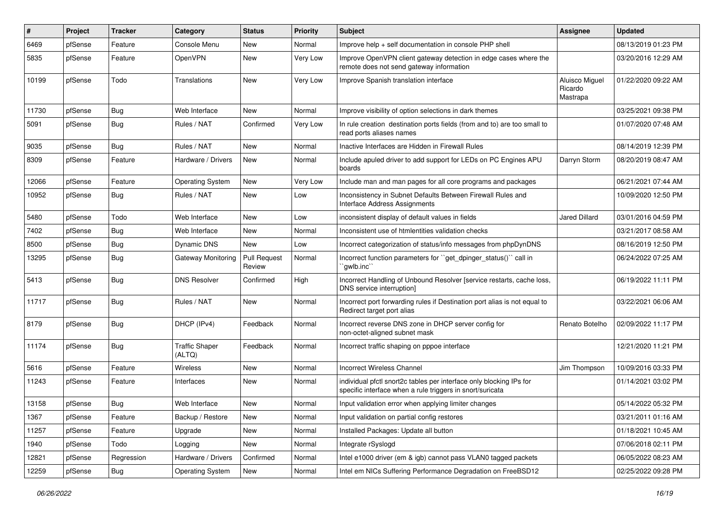| #     | Project | <b>Tracker</b> | Category                        | <b>Status</b>                 | <b>Priority</b> | Subject                                                                                                                          | <b>Assignee</b>                       | <b>Updated</b>      |
|-------|---------|----------------|---------------------------------|-------------------------------|-----------------|----------------------------------------------------------------------------------------------------------------------------------|---------------------------------------|---------------------|
| 6469  | pfSense | Feature        | Console Menu                    | New                           | Normal          | Improve help + self documentation in console PHP shell                                                                           |                                       | 08/13/2019 01:23 PM |
| 5835  | pfSense | Feature        | <b>OpenVPN</b>                  | <b>New</b>                    | Very Low        | Improve OpenVPN client gateway detection in edge cases where the<br>remote does not send gateway information                     |                                       | 03/20/2016 12:29 AM |
| 10199 | pfSense | Todo           | Translations                    | <b>New</b>                    | Very Low        | Improve Spanish translation interface                                                                                            | Aluisco Miguel<br>Ricardo<br>Mastrapa | 01/22/2020 09:22 AM |
| 11730 | pfSense | Bug            | Web Interface                   | <b>New</b>                    | Normal          | Improve visibility of option selections in dark themes                                                                           |                                       | 03/25/2021 09:38 PM |
| 5091  | pfSense | <b>Bug</b>     | Rules / NAT                     | Confirmed                     | Very Low        | In rule creation destination ports fields (from and to) are too small to<br>read ports aliases names                             |                                       | 01/07/2020 07:48 AM |
| 9035  | pfSense | <b>Bug</b>     | Rules / NAT                     | New                           | Normal          | Inactive Interfaces are Hidden in Firewall Rules                                                                                 |                                       | 08/14/2019 12:39 PM |
| 8309  | pfSense | Feature        | Hardware / Drivers              | <b>New</b>                    | Normal          | Include apuled driver to add support for LEDs on PC Engines APU<br>boards                                                        | Darryn Storm                          | 08/20/2019 08:47 AM |
| 12066 | pfSense | Feature        | <b>Operating System</b>         | <b>New</b>                    | Very Low        | Include man and man pages for all core programs and packages                                                                     |                                       | 06/21/2021 07:44 AM |
| 10952 | pfSense | <b>Bug</b>     | Rules / NAT                     | <b>New</b>                    | Low             | Inconsistency in Subnet Defaults Between Firewall Rules and<br>Interface Address Assignments                                     |                                       | 10/09/2020 12:50 PM |
| 5480  | pfSense | Todo           | Web Interface                   | <b>New</b>                    | Low             | inconsistent display of default values in fields                                                                                 | <b>Jared Dillard</b>                  | 03/01/2016 04:59 PM |
| 7402  | pfSense | <b>Bug</b>     | Web Interface                   | New                           | Normal          | Inconsistent use of htmlentities validation checks                                                                               |                                       | 03/21/2017 08:58 AM |
| 8500  | pfSense | <b>Bug</b>     | <b>Dynamic DNS</b>              | New                           | Low             | Incorrect categorization of status/info messages from phpDynDNS                                                                  |                                       | 08/16/2019 12:50 PM |
| 13295 | pfSense | <b>Bug</b>     | Gateway Monitoring              | <b>Pull Request</b><br>Review | Normal          | Incorrect function parameters for "get_dpinger_status()" call in<br>`qwlb.inc``                                                  |                                       | 06/24/2022 07:25 AM |
| 5413  | pfSense | <b>Bug</b>     | <b>DNS Resolver</b>             | Confirmed                     | High            | Incorrect Handling of Unbound Resolver [service restarts, cache loss,<br>DNS service interruption]                               |                                       | 06/19/2022 11:11 PM |
| 11717 | pfSense | Bug            | Rules / NAT                     | <b>New</b>                    | Normal          | Incorrect port forwarding rules if Destination port alias is not equal to<br>Redirect target port alias                          |                                       | 03/22/2021 06:06 AM |
| 8179  | pfSense | <b>Bug</b>     | DHCP (IPv4)                     | Feedback                      | Normal          | Incorrect reverse DNS zone in DHCP server config for<br>non-octet-aligned subnet mask                                            | Renato Botelho                        | 02/09/2022 11:17 PM |
| 11174 | pfSense | Bug            | <b>Traffic Shaper</b><br>(ALTQ) | Feedback                      | Normal          | Incorrect traffic shaping on pppoe interface                                                                                     |                                       | 12/21/2020 11:21 PM |
| 5616  | pfSense | Feature        | Wireless                        | New                           | Normal          | <b>Incorrect Wireless Channel</b>                                                                                                | Jim Thompson                          | 10/09/2016 03:33 PM |
| 11243 | pfSense | Feature        | Interfaces                      | New                           | Normal          | individual pfctl snort2c tables per interface only blocking IPs for<br>specific interface when a rule triggers in snort/suricata |                                       | 01/14/2021 03:02 PM |
| 13158 | pfSense | <b>Bug</b>     | Web Interface                   | New                           | Normal          | Input validation error when applying limiter changes                                                                             |                                       | 05/14/2022 05:32 PM |
| 1367  | pfSense | Feature        | Backup / Restore                | New                           | Normal          | Input validation on partial config restores                                                                                      |                                       | 03/21/2011 01:16 AM |
| 11257 | pfSense | Feature        | Upgrade                         | New                           | Normal          | Installed Packages: Update all button                                                                                            |                                       | 01/18/2021 10:45 AM |
| 1940  | pfSense | Todo           | Logging                         | New                           | Normal          | Integrate rSyslogd                                                                                                               |                                       | 07/06/2018 02:11 PM |
| 12821 | pfSense | Regression     | Hardware / Drivers              | Confirmed                     | Normal          | Intel e1000 driver (em & igb) cannot pass VLAN0 tagged packets                                                                   |                                       | 06/05/2022 08:23 AM |
| 12259 | pfSense | Bug            | <b>Operating System</b>         | New                           | Normal          | Intel em NICs Suffering Performance Degradation on FreeBSD12                                                                     |                                       | 02/25/2022 09:28 PM |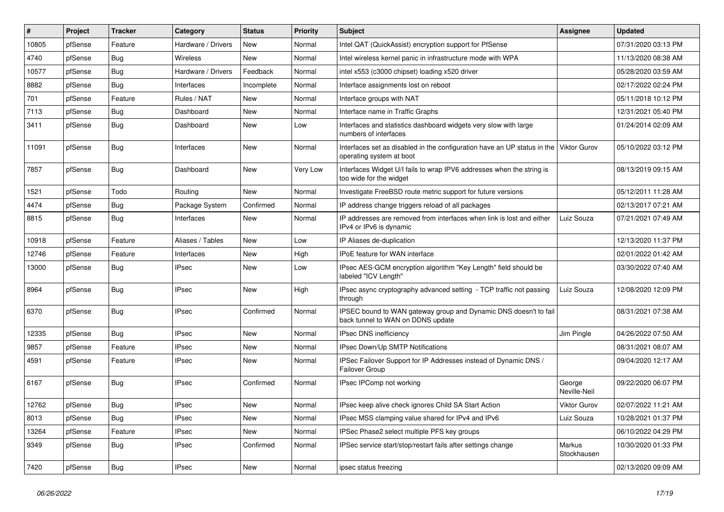| #     | Project | <b>Tracker</b> | Category           | <b>Status</b> | <b>Priority</b> | <b>Subject</b>                                                                                        | <b>Assignee</b>        | <b>Updated</b>      |
|-------|---------|----------------|--------------------|---------------|-----------------|-------------------------------------------------------------------------------------------------------|------------------------|---------------------|
| 10805 | pfSense | Feature        | Hardware / Drivers | New           | Normal          | Intel QAT (QuickAssist) encryption support for PfSense                                                |                        | 07/31/2020 03:13 PM |
| 4740  | pfSense | Bug            | Wireless           | New           | Normal          | Intel wireless kernel panic in infrastructure mode with WPA                                           |                        | 11/13/2020 08:38 AM |
| 10577 | pfSense | <b>Bug</b>     | Hardware / Drivers | Feedback      | Normal          | intel x553 (c3000 chipset) loading x520 driver                                                        |                        | 05/28/2020 03:59 AM |
| 8882  | pfSense | <b>Bug</b>     | Interfaces         | Incomplete    | Normal          | Interface assignments lost on reboot                                                                  |                        | 02/17/2022 02:24 PM |
| 701   | pfSense | Feature        | Rules / NAT        | New           | Normal          | Interface groups with NAT                                                                             |                        | 05/11/2018 10:12 PM |
| 7113  | pfSense | <b>Bug</b>     | Dashboard          | New           | Normal          | Interface name in Traffic Graphs                                                                      |                        | 12/31/2021 05:40 PM |
| 3411  | pfSense | Bug            | Dashboard          | New           | Low             | Interfaces and statistics dashboard widgets very slow with large<br>numbers of interfaces             |                        | 01/24/2014 02:09 AM |
| 11091 | pfSense | Bug            | Interfaces         | New           | Normal          | Interfaces set as disabled in the configuration have an UP status in the<br>operating system at boot  | Viktor Gurov           | 05/10/2022 03:12 PM |
| 7857  | pfSense | <b>Bug</b>     | Dashboard          | New           | Very Low        | Interfaces Widget U/I fails to wrap IPV6 addresses when the string is<br>too wide for the widget      |                        | 08/13/2019 09:15 AM |
| 1521  | pfSense | Todo           | Routing            | New           | Normal          | Investigate FreeBSD route metric support for future versions                                          |                        | 05/12/2011 11:28 AM |
| 4474  | pfSense | <b>Bug</b>     | Package System     | Confirmed     | Normal          | IP address change triggers reload of all packages                                                     |                        | 02/13/2017 07:21 AM |
| 8815  | pfSense | Bug            | Interfaces         | New           | Normal          | IP addresses are removed from interfaces when link is lost and either<br>IPv4 or IPv6 is dynamic      | Luiz Souza             | 07/21/2021 07:49 AM |
| 10918 | pfSense | Feature        | Aliases / Tables   | New           | Low             | IP Aliases de-duplication                                                                             |                        | 12/13/2020 11:37 PM |
| 12746 | pfSense | Feature        | Interfaces         | <b>New</b>    | High            | <b>IPoE</b> feature for WAN interface                                                                 |                        | 02/01/2022 01:42 AM |
| 13000 | pfSense | <b>Bug</b>     | IPsec              | New           | Low             | IPsec AES-GCM encryption algorithm "Key Length" field should be<br>labeled "ICV Length"               |                        | 03/30/2022 07:40 AM |
| 8964  | pfSense | Bug            | <b>IPsec</b>       | New           | High            | IPsec async cryptography advanced setting - TCP traffic not passing<br>through                        | Luiz Souza             | 12/08/2020 12:09 PM |
| 6370  | pfSense | <b>Bug</b>     | <b>IPsec</b>       | Confirmed     | Normal          | IPSEC bound to WAN gateway group and Dynamic DNS doesn't to fail<br>back tunnel to WAN on DDNS update |                        | 08/31/2021 07:38 AM |
| 12335 | pfSense | <b>Bug</b>     | <b>IPsec</b>       | New           | Normal          | IPsec DNS inefficiency                                                                                | Jim Pingle             | 04/26/2022 07:50 AM |
| 9857  | pfSense | Feature        | IPsec              | New           | Normal          | IPsec Down/Up SMTP Notifications                                                                      |                        | 08/31/2021 08:07 AM |
| 4591  | pfSense | Feature        | IPsec              | New           | Normal          | IPSec Failover Support for IP Addresses instead of Dynamic DNS /<br>Failover Group                    |                        | 09/04/2020 12:17 AM |
| 6167  | pfSense | <b>Bug</b>     | <b>IPsec</b>       | Confirmed     | Normal          | IPsec IPComp not working                                                                              | George<br>Neville-Neil | 09/22/2020 06:07 PM |
| 12762 | pfSense | <b>Bug</b>     | <b>IPsec</b>       | New           | Normal          | IPsec keep alive check ignores Child SA Start Action                                                  | <b>Viktor Gurov</b>    | 02/07/2022 11:21 AM |
| 8013  | pfSense | Bug            | <b>IPsec</b>       | New           | Normal          | IPsec MSS clamping value shared for IPv4 and IPv6                                                     | Luiz Souza             | 10/28/2021 01:37 PM |
| 13264 | pfSense | Feature        | <b>IPsec</b>       | New           | Normal          | IPSec Phase2 select multiple PFS key groups                                                           |                        | 06/10/2022 04:29 PM |
| 9349  | pfSense | <b>Bug</b>     | <b>IPsec</b>       | Confirmed     | Normal          | IPSec service start/stop/restart fails after settings change                                          | Markus<br>Stockhausen  | 10/30/2020 01:33 PM |
| 7420  | pfSense | Bug            | <b>IPsec</b>       | New           | Normal          | ipsec status freezing                                                                                 |                        | 02/13/2020 09:09 AM |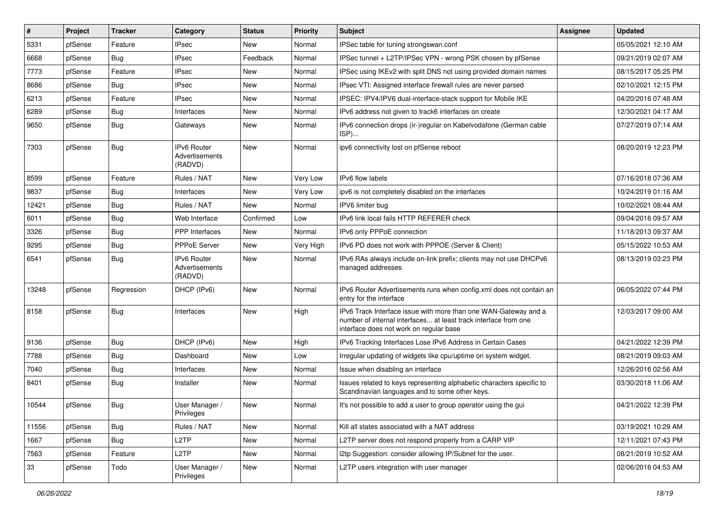| #     | Project | <b>Tracker</b> | Category                                               | <b>Status</b> | <b>Priority</b> | <b>Subject</b>                                                                                                                                                                | Assignee | <b>Updated</b>      |
|-------|---------|----------------|--------------------------------------------------------|---------------|-----------------|-------------------------------------------------------------------------------------------------------------------------------------------------------------------------------|----------|---------------------|
| 5331  | pfSense | Feature        | <b>IPsec</b>                                           | New           | Normal          | IPSec table for tuning strongswan.conf                                                                                                                                        |          | 05/05/2021 12:10 AM |
| 6668  | pfSense | Bug            | <b>IPsec</b>                                           | Feedback      | Normal          | IPSec tunnel + L2TP/IPSec VPN - wrong PSK chosen by pfSense                                                                                                                   |          | 09/21/2019 02:07 AM |
| 7773  | pfSense | Feature        | <b>IPsec</b>                                           | New           | Normal          | IPSec using IKEv2 with split DNS not using provided domain names                                                                                                              |          | 08/15/2017 05:25 PM |
| 8686  | pfSense | <b>Bug</b>     | <b>IPsec</b>                                           | New           | Normal          | IPsec VTI: Assigned interface firewall rules are never parsed                                                                                                                 |          | 02/10/2021 12:15 PM |
| 6213  | pfSense | Feature        | <b>IPsec</b>                                           | <b>New</b>    | Normal          | IPSEC: IPV4/IPV6 dual-interface-stack support for Mobile IKE                                                                                                                  |          | 04/20/2016 07:48 AM |
| 6289  | pfSense | <b>Bug</b>     | Interfaces                                             | New           | Normal          | IPv6 address not given to track6 interfaces on create                                                                                                                         |          | 12/30/2021 04:17 AM |
| 9650  | pfSense | <b>Bug</b>     | Gateways                                               | New           | Normal          | IPv6 connection drops (ir-)regular on Kabelvodafone (German cable<br>ISP)                                                                                                     |          | 07/27/2019 07:14 AM |
| 7303  | pfSense | <b>Bug</b>     | <b>IPv6 Router</b><br>Advertisements<br>(RADVD)        | <b>New</b>    | Normal          | ipv6 connectivity lost on pfSense reboot                                                                                                                                      |          | 08/20/2019 12:23 PM |
| 8599  | pfSense | Feature        | Rules / NAT                                            | <b>New</b>    | Very Low        | IPv6 flow labels                                                                                                                                                              |          | 07/16/2018 07:36 AM |
| 9837  | pfSense | Bug            | Interfaces                                             | New           | Very Low        | ipv6 is not completely disabled on the interfaces                                                                                                                             |          | 10/24/2019 01:16 AM |
| 12421 | pfSense | <b>Bug</b>     | Rules / NAT                                            | New           | Normal          | IPV6 limiter bug                                                                                                                                                              |          | 10/02/2021 08:44 AM |
| 6011  | pfSense | <b>Bug</b>     | Web Interface                                          | Confirmed     | Low             | IPv6 link local fails HTTP REFERER check                                                                                                                                      |          | 09/04/2016 09:57 AM |
| 3326  | pfSense | Bug            | <b>PPP</b> Interfaces                                  | New           | Normal          | IPv6 only PPPoE connection                                                                                                                                                    |          | 11/18/2013 09:37 AM |
| 9295  | pfSense | <b>Bug</b>     | PPPoE Server                                           | New           | Very High       | IPv6 PD does not work with PPPOE (Server & Client)                                                                                                                            |          | 05/15/2022 10:53 AM |
| 6541  | pfSense | <b>Bug</b>     | <b>IPv6 Router</b><br><b>Advertisements</b><br>(RADVD) | New           | Normal          | IPv6 RAs always include on-link prefix; clients may not use DHCPv6<br>managed addresses                                                                                       |          | 08/13/2019 03:23 PM |
| 13248 | pfSense | Regression     | DHCP (IPv6)                                            | New           | Normal          | IPv6 Router Advertisements runs when config.xml does not contain an<br>entry for the interface                                                                                |          | 06/05/2022 07:44 PM |
| 8158  | pfSense | <b>Bug</b>     | Interfaces                                             | <b>New</b>    | High            | IPv6 Track Interface issue with more than one WAN-Gateway and a<br>number of internal interfaces at least track interface from one<br>interface does not work on regular base |          | 12/03/2017 09:00 AM |
| 9136  | pfSense | <b>Bug</b>     | DHCP (IPv6)                                            | New           | High            | IPv6 Tracking Interfaces Lose IPv6 Address in Certain Cases                                                                                                                   |          | 04/21/2022 12:39 PM |
| 7788  | pfSense | Bug            | Dashboard                                              | <b>New</b>    | Low             | Irregular updating of widgets like cpu/uptime on system widget.                                                                                                               |          | 08/21/2019 09:03 AM |
| 7040  | pfSense | <b>Bug</b>     | Interfaces                                             | New           | Normal          | Issue when disabling an interface                                                                                                                                             |          | 12/26/2016 02:56 AM |
| 8401  | pfSense | <b>Bug</b>     | Installer                                              | New           | Normal          | Issues related to keys representing alphabetic characters specific to<br>Scandinavian languages and to some other keys.                                                       |          | 03/30/2018 11:06 AM |
| 10544 | pfSense | Bug            | User Manager /<br>Privileges                           | <b>New</b>    | Normal          | It's not possible to add a user to group operator using the qui                                                                                                               |          | 04/21/2022 12:39 PM |
| 11556 | pfSense | Bug            | Rules / NAT                                            | New           | Normal          | Kill all states associated with a NAT address                                                                                                                                 |          | 03/19/2021 10:29 AM |
| 1667  | pfSense | <b>Bug</b>     | L <sub>2</sub> TP                                      | New           | Normal          | L2TP server does not respond properly from a CARP VIP                                                                                                                         |          | 12/11/2021 07:43 PM |
| 7563  | pfSense | Feature        | L2TP                                                   | <b>New</b>    | Normal          | I2tp Suggestion: consider allowing IP/Subnet for the user.                                                                                                                    |          | 08/21/2019 10:52 AM |
| 33    | pfSense | Todo           | User Manager /<br>Privileges                           | New           | Normal          | L2TP users integration with user manager                                                                                                                                      |          | 02/06/2016 04:53 AM |